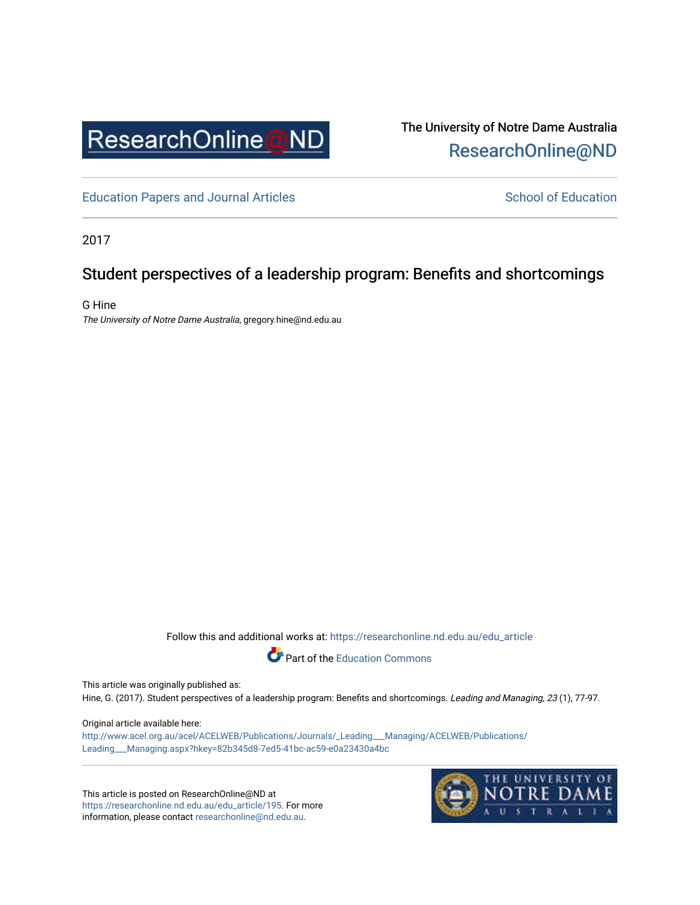

The University of Notre Dame Australia [ResearchOnline@ND](https://researchonline.nd.edu.au/) 

[Education Papers and Journal Articles](https://researchonline.nd.edu.au/edu_article) [School of Education](https://researchonline.nd.edu.au/edu) School of Education

2017

# Student perspectives of a leadership program: Benefits and shortcomings

G Hine The University of Notre Dame Australia, gregory.hine@nd.edu.au

Follow this and additional works at: [https://researchonline.nd.edu.au/edu\\_article](https://researchonline.nd.edu.au/edu_article?utm_source=researchonline.nd.edu.au%2Fedu_article%2F195&utm_medium=PDF&utm_campaign=PDFCoverPages)



This article was originally published as:

Hine, G. (2017). Student perspectives of a leadership program: Benefits and shortcomings. Leading and Managing, 23 (1), 77-97.

#### Original article available here:

[http://www.acel.org.au/acel/ACELWEB/Publications/Journals/\\_Leading\\_\\_\\_Managing/ACELWEB/Publications/](http://www.acel.org.au/acel/ACELWEB/Publications/Journals/_Leading___Managing/ACELWEB/Publications/Leading___Managing.aspx?hkey=82b345d8-7ed5-41bc-ac59-e0a23430a4bc) [Leading\\_\\_\\_Managing.aspx?hkey=82b345d8-7ed5-41bc-ac59-e0a23430a4bc](http://www.acel.org.au/acel/ACELWEB/Publications/Journals/_Leading___Managing/ACELWEB/Publications/Leading___Managing.aspx?hkey=82b345d8-7ed5-41bc-ac59-e0a23430a4bc) 

This article is posted on ResearchOnline@ND at [https://researchonline.nd.edu.au/edu\\_article/195](https://researchonline.nd.edu.au/edu_article/195). For more information, please contact [researchonline@nd.edu.au.](mailto:researchonline@nd.edu.au)

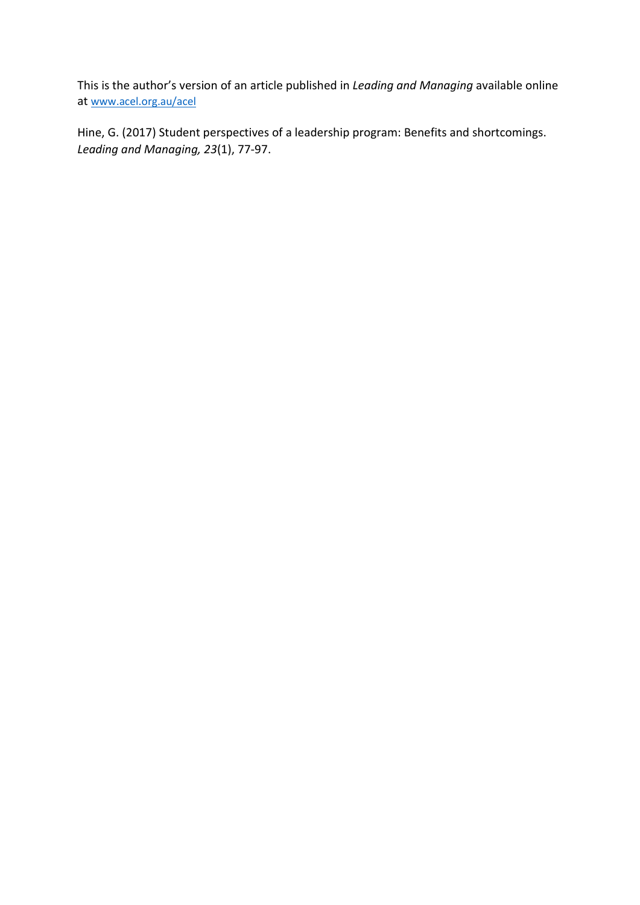This is the author's version of an article published in *Leading and Managing* available online at [www.acel.org.au/acel](http://www.acel.org.au/acel)

Hine, G. (2017) Student perspectives of a leadership program: Benefits and shortcomings. *Leading and Managing, 23*(1), 77-97.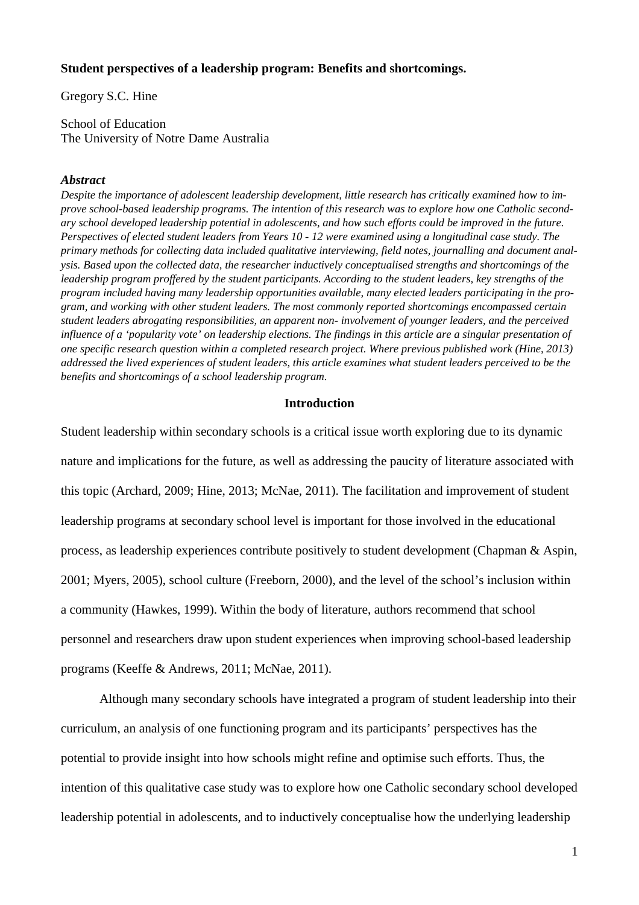## **Student perspectives of a leadership program: Benefits and shortcomings.**

Gregory S.C. Hine

School of Education The University of Notre Dame Australia

#### *Abstract*

*Despite the importance of adolescent leadership development, little research has critically examined how to improve school-based leadership programs. The intention of this research was to explore how one Catholic second*ary school developed leadership potential in adolescents, and how such efforts could be improved in the future. Perspectives of elected student leaders from Years 10 - 12 were examined using a longitudinal case study. The *primary methods for collecting data included qualitative interviewing, field notes, journalling and document analysis. Based upon the collected data, the researcher inductively conceptualised strengths and shortcomings of the leadership program proffered by the student participants. According to the student leaders, key strengths of the program included having many leadership opportunities available, many elected leaders participating in the program, and working with other student leaders. The most commonly reported shortcomings encompassed certain student leaders abrogating responsibilities, an apparent non- involvement of younger leaders, and the perceived* influence of a 'popularity vote' on leadership elections. The findings in this article are a singular presentation of *one specific research question within a completed research project. Where previous published work (Hine, 2013)* addressed the lived experiences of student leaders, this article examines what student leaders perceived to be the *benefits and shortcomings of a school leadership program.*

#### **Introduction**

Student leadership within secondary schools is a critical issue worth exploring due to its dynamic nature and implications for the future, as well as addressing the paucity of literature associated with this topic (Archard, 2009; Hine, 2013; McNae, 2011). The facilitation and improvement of student leadership programs at secondary school level is important for those involved in the educational process, as leadership experiences contribute positively to student development (Chapman & Aspin, 2001; Myers, 2005), school culture (Freeborn, 2000), and the level of the school's inclusion within a community (Hawkes, 1999). Within the body of literature, authors recommend that school personnel and researchers draw upon student experiences when improving school-based leadership programs (Keeffe & Andrews, 2011; McNae, 2011).

Although many secondary schools have integrated a program of student leadership into their curriculum, an analysis of one functioning program and its participants' perspectives has the potential to provide insight into how schools might refine and optimise such efforts. Thus, the intention of this qualitative case study was to explore how one Catholic secondary school developed leadership potential in adolescents, and to inductively conceptualise how the underlying leadership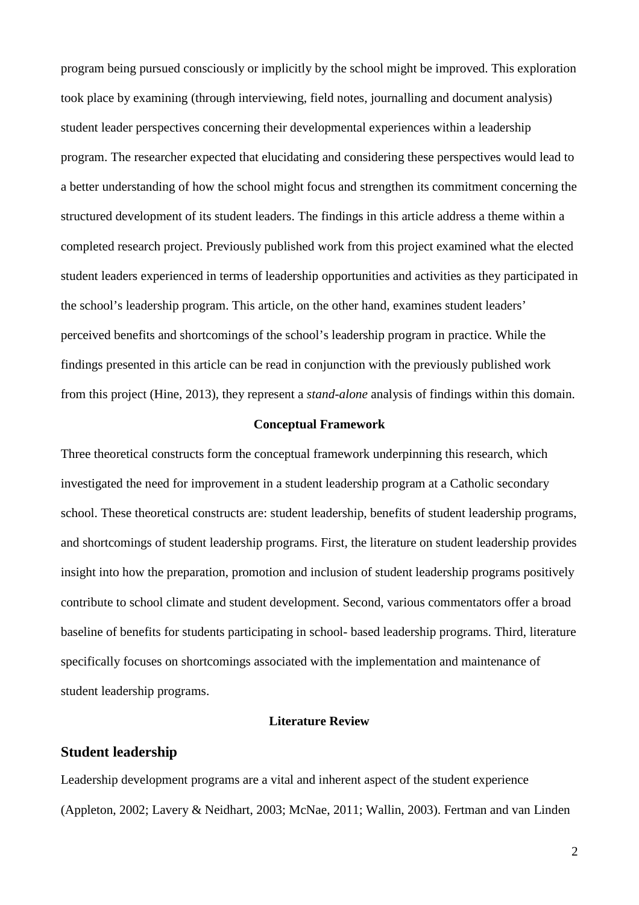program being pursued consciously or implicitly by the school might be improved. This exploration took place by examining (through interviewing, field notes, journalling and document analysis) student leader perspectives concerning their developmental experiences within a leadership program. The researcher expected that elucidating and considering these perspectives would lead to a better understanding of how the school might focus and strengthen its commitment concerning the structured development of its student leaders. The findings in this article address a theme within a completed research project. Previously published work from this project examined what the elected student leaders experienced in terms of leadership opportunities and activities as they participated in the school's leadership program. This article, on the other hand, examines student leaders' perceived benefits and shortcomings of the school's leadership program in practice. While the findings presented in this article can be read in conjunction with the previously published work from this project (Hine, 2013), they represent a *stand-alone* analysis of findings within this domain.

## **Conceptual Framework**

Three theoretical constructs form the conceptual framework underpinning this research, which investigated the need for improvement in a student leadership program at a Catholic secondary school. These theoretical constructs are: student leadership, benefits of student leadership programs, and shortcomings of student leadership programs. First, the literature on student leadership provides insight into how the preparation, promotion and inclusion of student leadership programs positively contribute to school climate and student development. Second, various commentators offer a broad baseline of benefits for students participating in school- based leadership programs. Third, literature specifically focuses on shortcomings associated with the implementation and maintenance of student leadership programs.

### **Literature Review**

## **Student leadership**

Leadership development programs are a vital and inherent aspect of the student experience (Appleton, 2002; Lavery & Neidhart, 2003; McNae, 2011; Wallin, 2003). Fertman and van Linden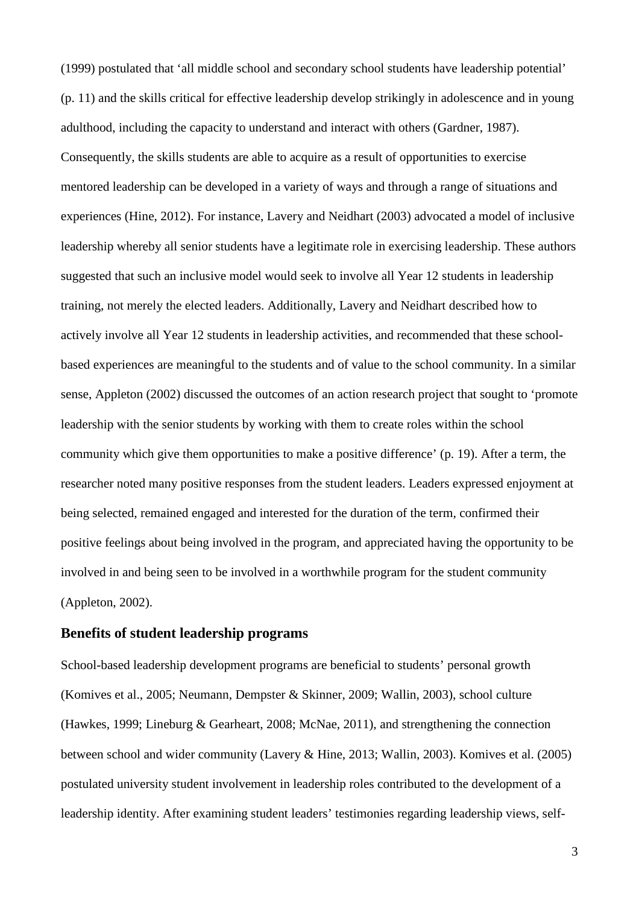(1999) postulated that 'all middle school and secondary school students have leadership potential' (p. 11) and the skills critical for effective leadership develop strikingly in adolescence and in young adulthood, including the capacity to understand and interact with others (Gardner, 1987). Consequently, the skills students are able to acquire as a result of opportunities to exercise mentored leadership can be developed in a variety of ways and through a range of situations and experiences (Hine, 2012). For instance, Lavery and Neidhart (2003) advocated a model of inclusive leadership whereby all senior students have a legitimate role in exercising leadership. These authors suggested that such an inclusive model would seek to involve all Year 12 students in leadership training, not merely the elected leaders. Additionally, Lavery and Neidhart described how to actively involve all Year 12 students in leadership activities, and recommended that these schoolbased experiences are meaningful to the students and of value to the school community. In a similar sense, Appleton (2002) discussed the outcomes of an action research project that sought to 'promote leadership with the senior students by working with them to create roles within the school community which give them opportunities to make a positive difference' (p. 19). After a term, the researcher noted many positive responses from the student leaders. Leaders expressed enjoyment at being selected, remained engaged and interested for the duration of the term, confirmed their positive feelings about being involved in the program, and appreciated having the opportunity to be involved in and being seen to be involved in a worthwhile program for the student community (Appleton, 2002).

## **Benefits of student leadership programs**

School-based leadership development programs are beneficial to students' personal growth (Komives et al., 2005; Neumann, Dempster & Skinner, 2009; Wallin, 2003), school culture (Hawkes, 1999; Lineburg & Gearheart, 2008; McNae, 2011), and strengthening the connection between school and wider community (Lavery & Hine, 2013; Wallin, 2003). Komives et al. (2005) postulated university student involvement in leadership roles contributed to the development of a leadership identity. After examining student leaders' testimonies regarding leadership views, self-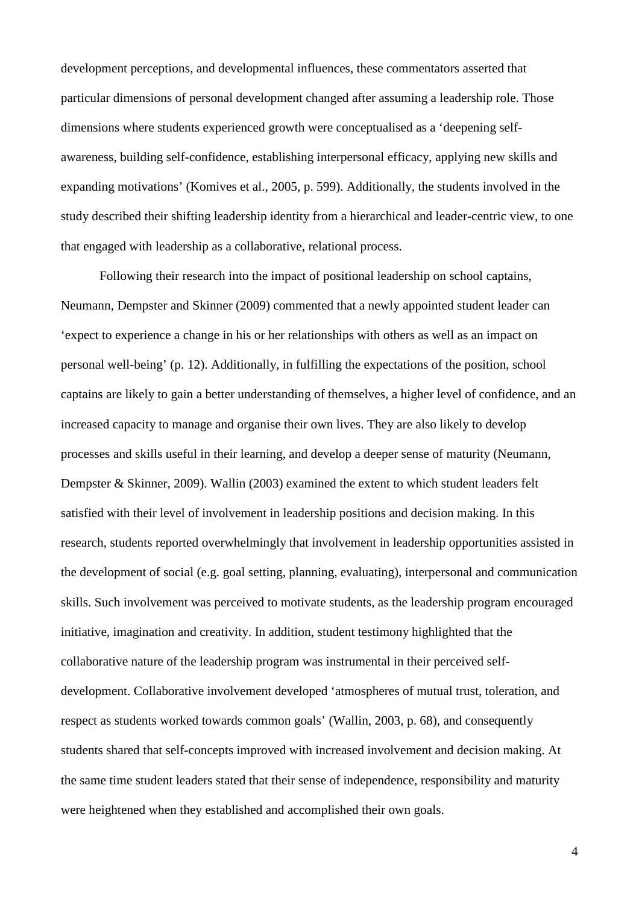development perceptions, and developmental influences, these commentators asserted that particular dimensions of personal development changed after assuming a leadership role. Those dimensions where students experienced growth were conceptualised as a 'deepening selfawareness, building self-confidence, establishing interpersonal efficacy, applying new skills and expanding motivations' (Komives et al., 2005, p. 599). Additionally, the students involved in the study described their shifting leadership identity from a hierarchical and leader-centric view, to one that engaged with leadership as a collaborative, relational process.

Following their research into the impact of positional leadership on school captains, Neumann, Dempster and Skinner (2009) commented that a newly appointed student leader can 'expect to experience a change in his or her relationships with others as well as an impact on personal well-being' (p. 12). Additionally, in fulfilling the expectations of the position, school captains are likely to gain a better understanding of themselves, a higher level of confidence, and an increased capacity to manage and organise their own lives. They are also likely to develop processes and skills useful in their learning, and develop a deeper sense of maturity (Neumann, Dempster & Skinner, 2009). Wallin (2003) examined the extent to which student leaders felt satisfied with their level of involvement in leadership positions and decision making. In this research, students reported overwhelmingly that involvement in leadership opportunities assisted in the development of social (e.g. goal setting, planning, evaluating), interpersonal and communication skills. Such involvement was perceived to motivate students, as the leadership program encouraged initiative, imagination and creativity. In addition, student testimony highlighted that the collaborative nature of the leadership program was instrumental in their perceived selfdevelopment. Collaborative involvement developed 'atmospheres of mutual trust, toleration, and respect as students worked towards common goals' (Wallin, 2003, p. 68), and consequently students shared that self-concepts improved with increased involvement and decision making. At the same time student leaders stated that their sense of independence, responsibility and maturity were heightened when they established and accomplished their own goals.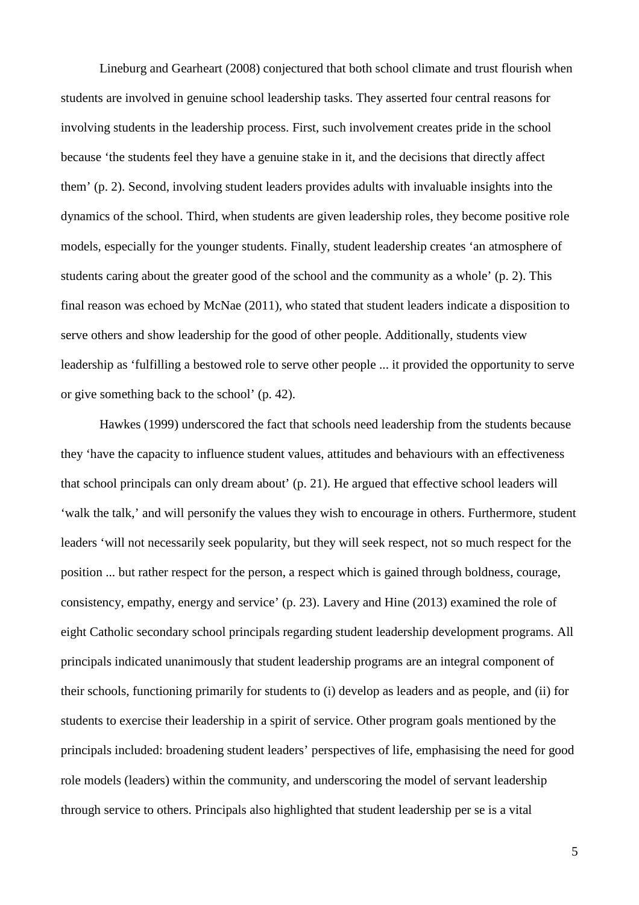Lineburg and Gearheart (2008) conjectured that both school climate and trust flourish when students are involved in genuine school leadership tasks. They asserted four central reasons for involving students in the leadership process. First, such involvement creates pride in the school because 'the students feel they have a genuine stake in it, and the decisions that directly affect them' (p. 2). Second, involving student leaders provides adults with invaluable insights into the dynamics of the school. Third, when students are given leadership roles, they become positive role models, especially for the younger students. Finally, student leadership creates 'an atmosphere of students caring about the greater good of the school and the community as a whole' (p. 2). This final reason was echoed by McNae (2011), who stated that student leaders indicate a disposition to serve others and show leadership for the good of other people. Additionally, students view leadership as 'fulfilling a bestowed role to serve other people ... it provided the opportunity to serve or give something back to the school' (p. 42).

Hawkes (1999) underscored the fact that schools need leadership from the students because they 'have the capacity to influence student values, attitudes and behaviours with an effectiveness that school principals can only dream about' (p. 21). He argued that effective school leaders will 'walk the talk,' and will personify the values they wish to encourage in others. Furthermore, student leaders 'will not necessarily seek popularity, but they will seek respect, not so much respect for the position ... but rather respect for the person, a respect which is gained through boldness, courage, consistency, empathy, energy and service' (p. 23). Lavery and Hine (2013) examined the role of eight Catholic secondary school principals regarding student leadership development programs. All principals indicated unanimously that student leadership programs are an integral component of their schools, functioning primarily for students to (i) develop as leaders and as people, and (ii) for students to exercise their leadership in a spirit of service. Other program goals mentioned by the principals included: broadening student leaders' perspectives of life, emphasising the need for good role models (leaders) within the community, and underscoring the model of servant leadership through service to others. Principals also highlighted that student leadership per se is a vital

5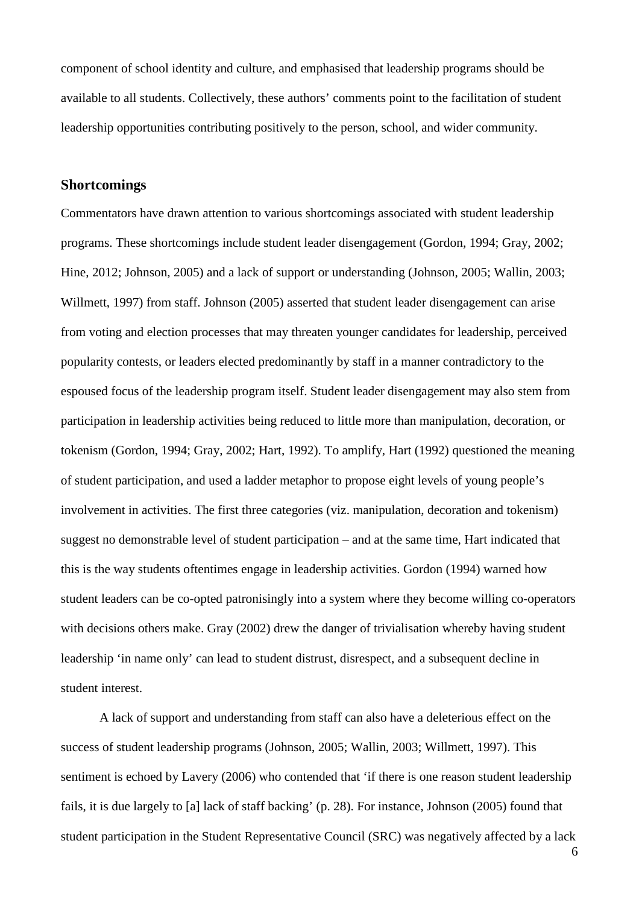component of school identity and culture, and emphasised that leadership programs should be available to all students. Collectively, these authors' comments point to the facilitation of student leadership opportunities contributing positively to the person, school, and wider community.

## **Shortcomings**

Commentators have drawn attention to various shortcomings associated with student leadership programs. These shortcomings include student leader disengagement (Gordon, 1994; Gray, 2002; Hine, 2012; Johnson, 2005) and a lack of support or understanding (Johnson, 2005; Wallin, 2003; Willmett, 1997) from staff. Johnson (2005) asserted that student leader disengagement can arise from voting and election processes that may threaten younger candidates for leadership, perceived popularity contests, or leaders elected predominantly by staff in a manner contradictory to the espoused focus of the leadership program itself. Student leader disengagement may also stem from participation in leadership activities being reduced to little more than manipulation, decoration, or tokenism (Gordon, 1994; Gray, 2002; Hart, 1992). To amplify, Hart (1992) questioned the meaning of student participation, and used a ladder metaphor to propose eight levels of young people's involvement in activities. The first three categories (viz. manipulation, decoration and tokenism) suggest no demonstrable level of student participation – and at the same time, Hart indicated that this is the way students oftentimes engage in leadership activities. Gordon (1994) warned how student leaders can be co-opted patronisingly into a system where they become willing co-operators with decisions others make. Gray (2002) drew the danger of trivialisation whereby having student leadership 'in name only' can lead to student distrust, disrespect, and a subsequent decline in student interest.

A lack of support and understanding from staff can also have a deleterious effect on the success of student leadership programs (Johnson, 2005; Wallin, 2003; Willmett, 1997). This sentiment is echoed by Lavery (2006) who contended that 'if there is one reason student leadership fails, it is due largely to [a] lack of staff backing' (p. 28). For instance, Johnson (2005) found that student participation in the Student Representative Council (SRC) was negatively affected by a lack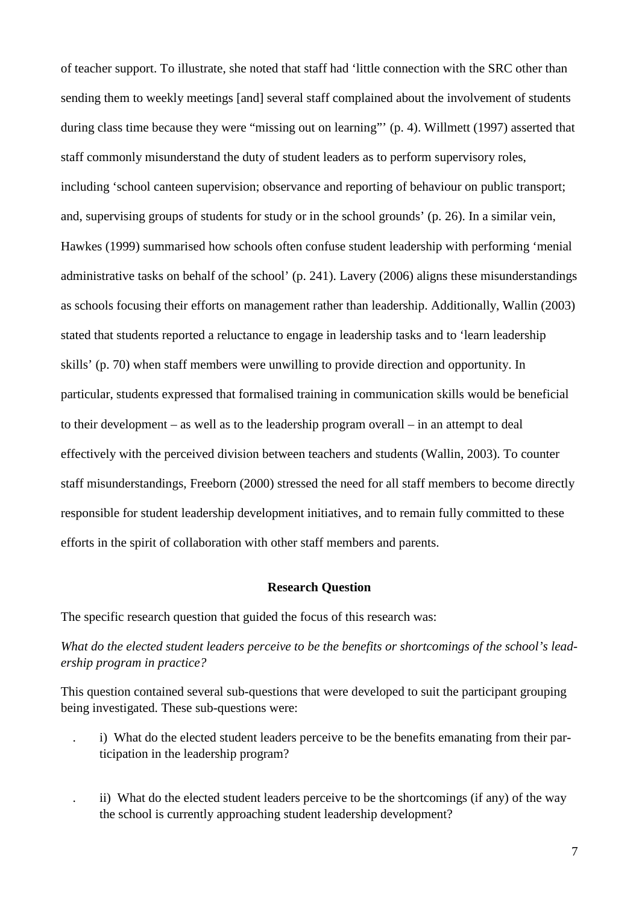of teacher support. To illustrate, she noted that staff had 'little connection with the SRC other than sending them to weekly meetings [and] several staff complained about the involvement of students during class time because they were "missing out on learning"' (p. 4). Willmett (1997) asserted that staff commonly misunderstand the duty of student leaders as to perform supervisory roles, including 'school canteen supervision; observance and reporting of behaviour on public transport; and, supervising groups of students for study or in the school grounds' (p. 26). In a similar vein, Hawkes (1999) summarised how schools often confuse student leadership with performing 'menial administrative tasks on behalf of the school' (p. 241). Lavery (2006) aligns these misunderstandings as schools focusing their efforts on management rather than leadership. Additionally, Wallin (2003) stated that students reported a reluctance to engage in leadership tasks and to 'learn leadership skills' (p. 70) when staff members were unwilling to provide direction and opportunity. In particular, students expressed that formalised training in communication skills would be beneficial to their development – as well as to the leadership program overall – in an attempt to deal effectively with the perceived division between teachers and students (Wallin, 2003). To counter staff misunderstandings, Freeborn (2000) stressed the need for all staff members to become directly responsible for student leadership development initiatives, and to remain fully committed to these efforts in the spirit of collaboration with other staff members and parents.

### **Research Question**

The specific research question that guided the focus of this research was:

*What do the elected student leaders perceive to be the benefits or shortcomings of the school's leadership program in practice?*

This question contained several sub-questions that were developed to suit the participant grouping being investigated. These sub-questions were:

- . i) What do the elected student leaders perceive to be the benefits emanating from their participation in the leadership program?
- . ii) What do the elected student leaders perceive to be the shortcomings (if any) of the way the school is currently approaching student leadership development?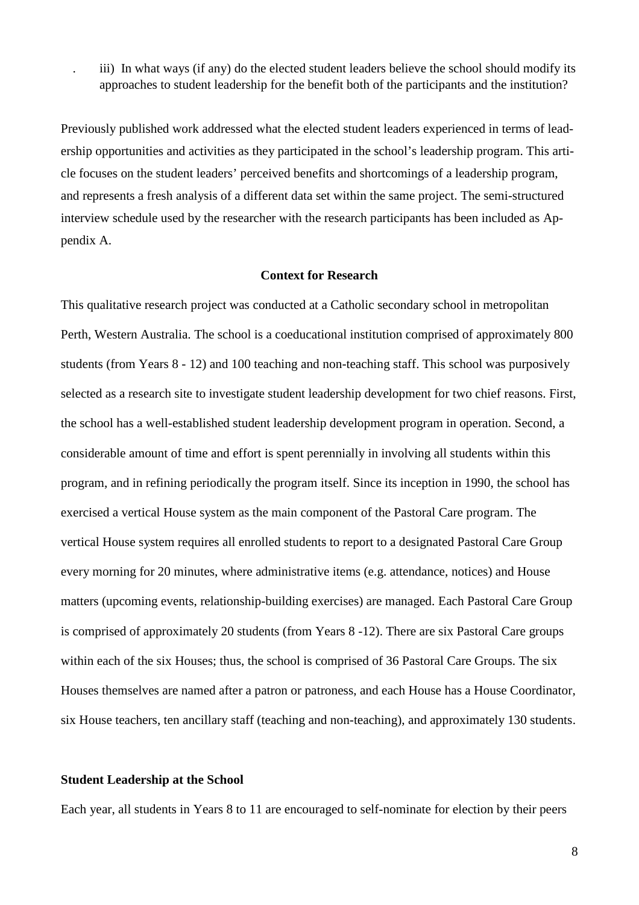. iii) In what ways (if any) do the elected student leaders believe the school should modify its approaches to student leadership for the benefit both of the participants and the institution?

Previously published work addressed what the elected student leaders experienced in terms of leadership opportunities and activities as they participated in the school's leadership program. This article focuses on the student leaders' perceived benefits and shortcomings of a leadership program, and represents a fresh analysis of a different data set within the same project. The semi-structured interview schedule used by the researcher with the research participants has been included as Appendix A.

#### **Context for Research**

This qualitative research project was conducted at a Catholic secondary school in metropolitan Perth, Western Australia. The school is a coeducational institution comprised of approximately 800 students (from Years 8 - 12) and 100 teaching and non-teaching staff. This school was purposively selected as a research site to investigate student leadership development for two chief reasons. First, the school has a well-established student leadership development program in operation. Second, a considerable amount of time and effort is spent perennially in involving all students within this program, and in refining periodically the program itself. Since its inception in 1990, the school has exercised a vertical House system as the main component of the Pastoral Care program. The vertical House system requires all enrolled students to report to a designated Pastoral Care Group every morning for 20 minutes, where administrative items (e.g. attendance, notices) and House matters (upcoming events, relationship-building exercises) are managed. Each Pastoral Care Group is comprised of approximately 20 students (from Years 8 -12). There are six Pastoral Care groups within each of the six Houses; thus, the school is comprised of 36 Pastoral Care Groups. The six Houses themselves are named after a patron or patroness, and each House has a House Coordinator, six House teachers, ten ancillary staff (teaching and non-teaching), and approximately 130 students.

### **Student Leadership at the School**

Each year, all students in Years 8 to 11 are encouraged to self-nominate for election by their peers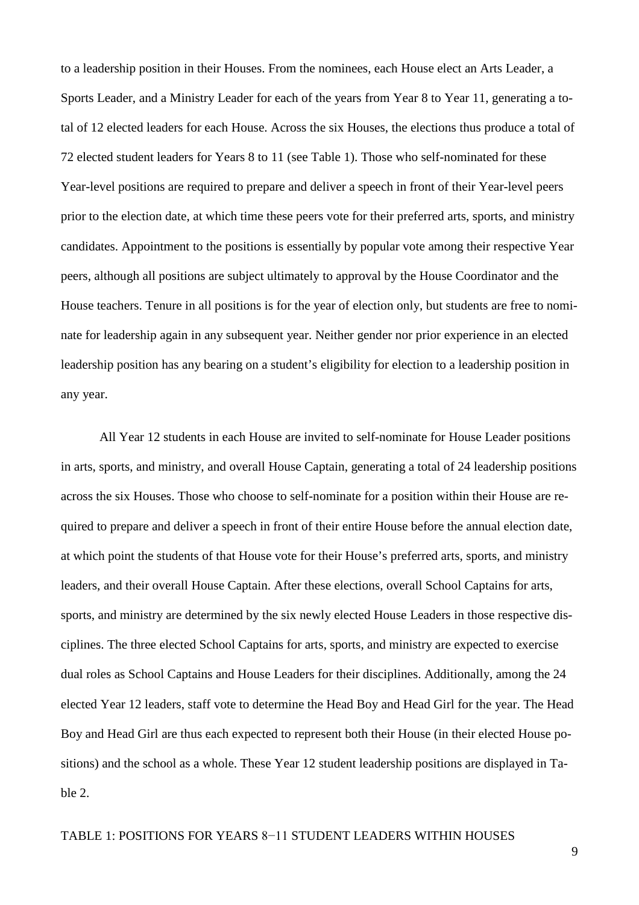to a leadership position in their Houses. From the nominees, each House elect an Arts Leader, a Sports Leader, and a Ministry Leader for each of the years from Year 8 to Year 11, generating a total of 12 elected leaders for each House. Across the six Houses, the elections thus produce a total of 72 elected student leaders for Years 8 to 11 (see Table 1). Those who self-nominated for these Year-level positions are required to prepare and deliver a speech in front of their Year-level peers prior to the election date, at which time these peers vote for their preferred arts, sports, and ministry candidates. Appointment to the positions is essentially by popular vote among their respective Year peers, although all positions are subject ultimately to approval by the House Coordinator and the House teachers. Tenure in all positions is for the year of election only, but students are free to nominate for leadership again in any subsequent year. Neither gender nor prior experience in an elected leadership position has any bearing on a student's eligibility for election to a leadership position in any year.

All Year 12 students in each House are invited to self-nominate for House Leader positions in arts, sports, and ministry, and overall House Captain, generating a total of 24 leadership positions across the six Houses. Those who choose to self-nominate for a position within their House are required to prepare and deliver a speech in front of their entire House before the annual election date, at which point the students of that House vote for their House's preferred arts, sports, and ministry leaders, and their overall House Captain. After these elections, overall School Captains for arts, sports, and ministry are determined by the six newly elected House Leaders in those respective disciplines. The three elected School Captains for arts, sports, and ministry are expected to exercise dual roles as School Captains and House Leaders for their disciplines. Additionally, among the 24 elected Year 12 leaders, staff vote to determine the Head Boy and Head Girl for the year. The Head Boy and Head Girl are thus each expected to represent both their House (in their elected House positions) and the school as a whole. These Year 12 student leadership positions are displayed in Table 2.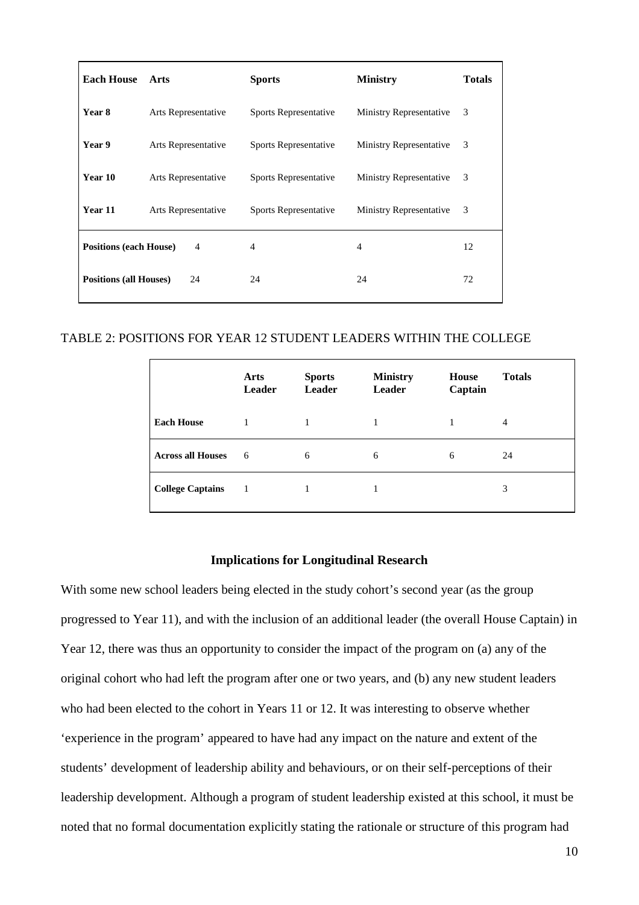| <b>Each House</b>             | Arts                | <b>Sports</b>                | <b>Ministry</b>                | <b>Totals</b> |
|-------------------------------|---------------------|------------------------------|--------------------------------|---------------|
| Year 8                        | Arts Representative | <b>Sports Representative</b> | <b>Ministry Representative</b> | 3             |
| Year 9                        | Arts Representative | <b>Sports Representative</b> | <b>Ministry Representative</b> | 3             |
| Year 10                       | Arts Representative | Sports Representative        | <b>Ministry Representative</b> | 3             |
| Year 11                       | Arts Representative | <b>Sports Representative</b> | <b>Ministry Representative</b> | 3             |
| <b>Positions (each House)</b> | $\overline{4}$      | $\overline{4}$               | 4                              | 12            |
| <b>Positions (all Houses)</b> | 24                  | 24                           | 24                             | 72            |

## TABLE 2: POSITIONS FOR YEAR 12 STUDENT LEADERS WITHIN THE COLLEGE

|                          | Arts<br>Leader | <b>Sports</b><br><b>Leader</b> | <b>Ministry</b><br>Leader | House<br>Captain | <b>Totals</b> |
|--------------------------|----------------|--------------------------------|---------------------------|------------------|---------------|
| <b>Each House</b>        |                |                                |                           |                  | 4             |
| <b>Across all Houses</b> | 6              | 6                              | 6                         | 6                | 24            |
| <b>College Captains</b>  | 1              |                                |                           |                  | 3             |

## **Implications for Longitudinal Research**

With some new school leaders being elected in the study cohort's second year (as the group progressed to Year 11), and with the inclusion of an additional leader (the overall House Captain) in Year 12, there was thus an opportunity to consider the impact of the program on (a) any of the original cohort who had left the program after one or two years, and (b) any new student leaders who had been elected to the cohort in Years 11 or 12. It was interesting to observe whether 'experience in the program' appeared to have had any impact on the nature and extent of the students' development of leadership ability and behaviours, or on their self-perceptions of their leadership development. Although a program of student leadership existed at this school, it must be noted that no formal documentation explicitly stating the rationale or structure of this program had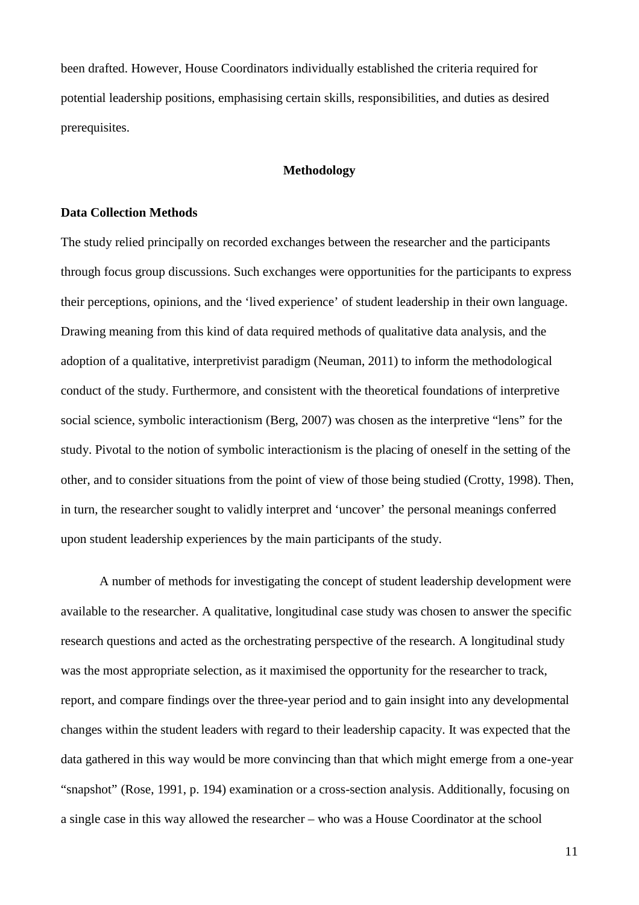been drafted. However, House Coordinators individually established the criteria required for potential leadership positions, emphasising certain skills, responsibilities, and duties as desired prerequisites.

### **Methodology**

### **Data Collection Methods**

The study relied principally on recorded exchanges between the researcher and the participants through focus group discussions. Such exchanges were opportunities for the participants to express their perceptions, opinions, and the 'lived experience' of student leadership in their own language. Drawing meaning from this kind of data required methods of qualitative data analysis, and the adoption of a qualitative, interpretivist paradigm (Neuman, 2011) to inform the methodological conduct of the study. Furthermore, and consistent with the theoretical foundations of interpretive social science, symbolic interactionism (Berg, 2007) was chosen as the interpretive "lens" for the study. Pivotal to the notion of symbolic interactionism is the placing of oneself in the setting of the other, and to consider situations from the point of view of those being studied (Crotty, 1998). Then, in turn, the researcher sought to validly interpret and 'uncover' the personal meanings conferred upon student leadership experiences by the main participants of the study.

A number of methods for investigating the concept of student leadership development were available to the researcher. A qualitative, longitudinal case study was chosen to answer the specific research questions and acted as the orchestrating perspective of the research. A longitudinal study was the most appropriate selection, as it maximised the opportunity for the researcher to track, report, and compare findings over the three-year period and to gain insight into any developmental changes within the student leaders with regard to their leadership capacity. It was expected that the data gathered in this way would be more convincing than that which might emerge from a one-year "snapshot" (Rose, 1991, p. 194) examination or a cross-section analysis. Additionally, focusing on a single case in this way allowed the researcher – who was a House Coordinator at the school

11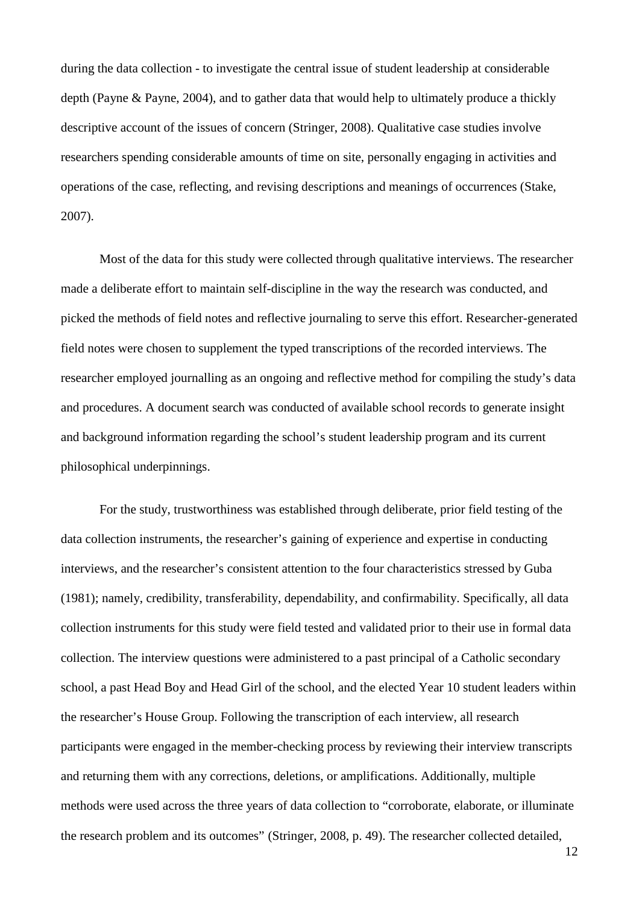during the data collection - to investigate the central issue of student leadership at considerable depth (Payne & Payne, 2004), and to gather data that would help to ultimately produce a thickly descriptive account of the issues of concern (Stringer, 2008). Qualitative case studies involve researchers spending considerable amounts of time on site, personally engaging in activities and operations of the case, reflecting, and revising descriptions and meanings of occurrences (Stake, 2007).

Most of the data for this study were collected through qualitative interviews. The researcher made a deliberate effort to maintain self-discipline in the way the research was conducted, and picked the methods of field notes and reflective journaling to serve this effort. Researcher-generated field notes were chosen to supplement the typed transcriptions of the recorded interviews. The researcher employed journalling as an ongoing and reflective method for compiling the study's data and procedures. A document search was conducted of available school records to generate insight and background information regarding the school's student leadership program and its current philosophical underpinnings.

For the study, trustworthiness was established through deliberate, prior field testing of the data collection instruments, the researcher's gaining of experience and expertise in conducting interviews, and the researcher's consistent attention to the four characteristics stressed by Guba (1981); namely, credibility, transferability, dependability, and confirmability. Specifically, all data collection instruments for this study were field tested and validated prior to their use in formal data collection. The interview questions were administered to a past principal of a Catholic secondary school, a past Head Boy and Head Girl of the school, and the elected Year 10 student leaders within the researcher's House Group. Following the transcription of each interview, all research participants were engaged in the member-checking process by reviewing their interview transcripts and returning them with any corrections, deletions, or amplifications. Additionally, multiple methods were used across the three years of data collection to "corroborate, elaborate, or illuminate the research problem and its outcomes" (Stringer, 2008, p. 49). The researcher collected detailed,

12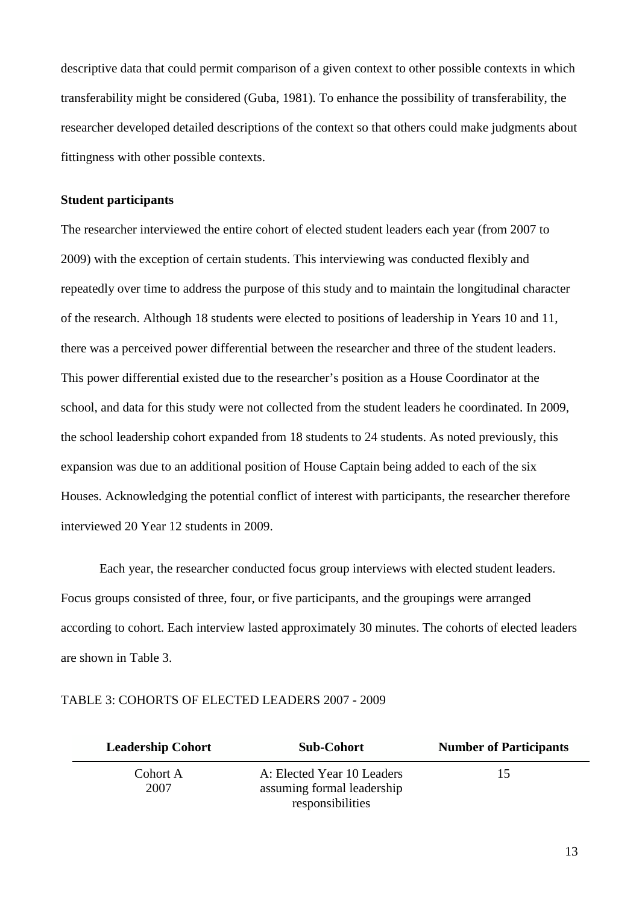descriptive data that could permit comparison of a given context to other possible contexts in which transferability might be considered (Guba, 1981). To enhance the possibility of transferability, the researcher developed detailed descriptions of the context so that others could make judgments about fittingness with other possible contexts.

## **Student participants**

The researcher interviewed the entire cohort of elected student leaders each year (from 2007 to 2009) with the exception of certain students. This interviewing was conducted flexibly and repeatedly over time to address the purpose of this study and to maintain the longitudinal character of the research. Although 18 students were elected to positions of leadership in Years 10 and 11, there was a perceived power differential between the researcher and three of the student leaders. This power differential existed due to the researcher's position as a House Coordinator at the school, and data for this study were not collected from the student leaders he coordinated. In 2009, the school leadership cohort expanded from 18 students to 24 students. As noted previously, this expansion was due to an additional position of House Captain being added to each of the six Houses. Acknowledging the potential conflict of interest with participants, the researcher therefore interviewed 20 Year 12 students in 2009.

Each year, the researcher conducted focus group interviews with elected student leaders. Focus groups consisted of three, four, or five participants, and the groupings were arranged according to cohort. Each interview lasted approximately 30 minutes. The cohorts of elected leaders are shown in Table 3.

| <b>Leadership Cohort</b> | <b>Sub-Cohort</b>                                                            | <b>Number of Participants</b> |
|--------------------------|------------------------------------------------------------------------------|-------------------------------|
| Cohort A<br>2007         | A: Elected Year 10 Leaders<br>assuming formal leadership<br>responsibilities | 15                            |

### TABLE 3: COHORTS OF ELECTED LEADERS 2007 - 2009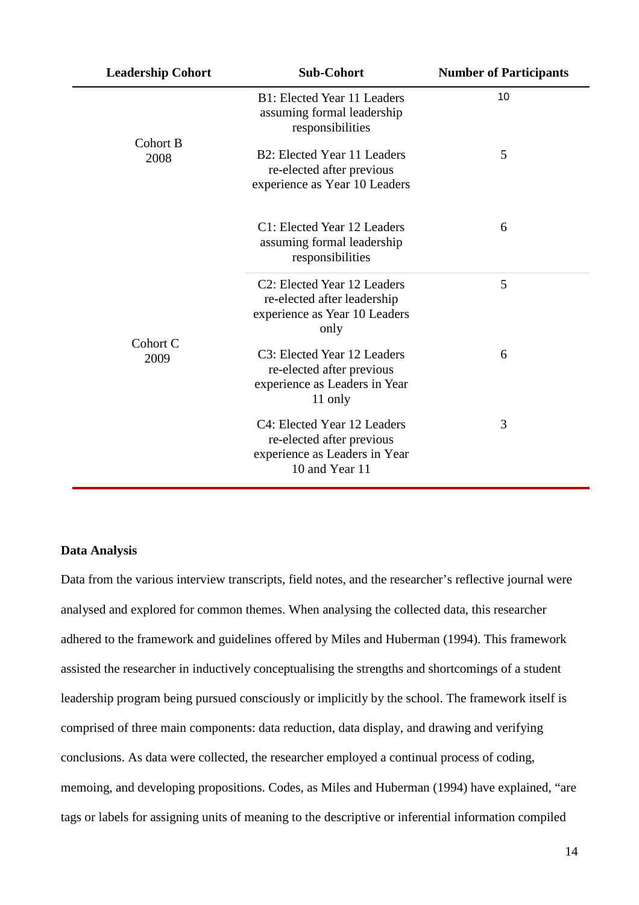| <b>Leadership Cohort</b> | <b>Sub-Cohort</b>                                                                                                | <b>Number of Participants</b> |
|--------------------------|------------------------------------------------------------------------------------------------------------------|-------------------------------|
|                          | B1: Elected Year 11 Leaders<br>assuming formal leadership<br>responsibilities                                    | 10                            |
| Cohort B<br>2008         | B2: Elected Year 11 Leaders<br>re-elected after previous<br>experience as Year 10 Leaders                        | 5                             |
|                          | C1: Elected Year 12 Leaders<br>assuming formal leadership<br>responsibilities                                    | 6                             |
|                          | C <sub>2</sub> : Elected Year 12 Leaders<br>re-elected after leadership<br>experience as Year 10 Leaders<br>only | 5                             |
| Cohort C<br>2009         | C3: Elected Year 12 Leaders<br>re-elected after previous<br>experience as Leaders in Year<br>11 only             | 6                             |
|                          | C4: Elected Year 12 Leaders<br>re-elected after previous<br>experience as Leaders in Year<br>10 and Year 11      | 3                             |

## **Data Analysis**

Data from the various interview transcripts, field notes, and the researcher's reflective journal were analysed and explored for common themes. When analysing the collected data, this researcher adhered to the framework and guidelines offered by Miles and Huberman (1994). This framework assisted the researcher in inductively conceptualising the strengths and shortcomings of a student leadership program being pursued consciously or implicitly by the school. The framework itself is comprised of three main components: data reduction, data display, and drawing and verifying conclusions. As data were collected, the researcher employed a continual process of coding, memoing, and developing propositions. Codes, as Miles and Huberman (1994) have explained, "are tags or labels for assigning units of meaning to the descriptive or inferential information compiled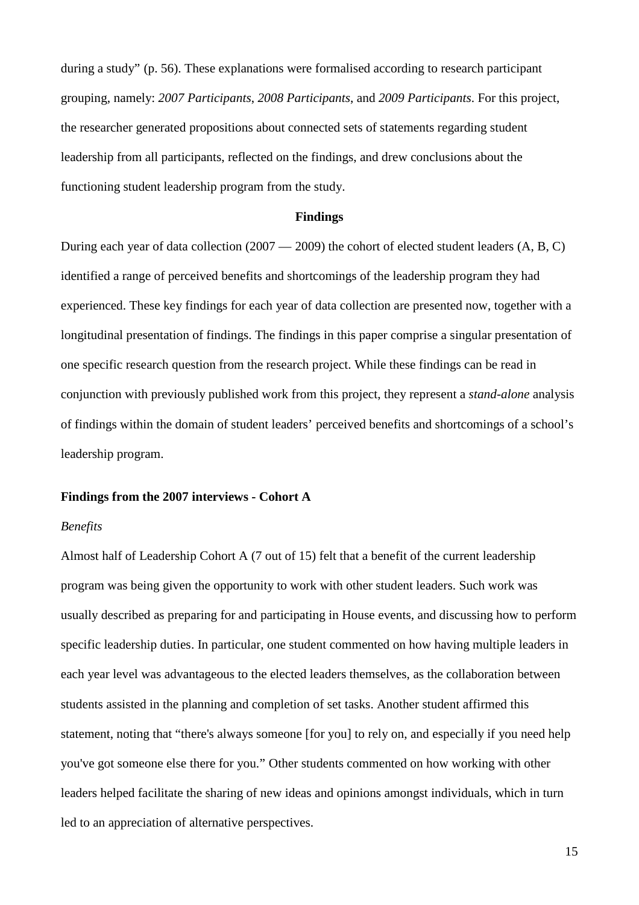during a study" (p. 56). These explanations were formalised according to research participant grouping, namely: *2007 Participants*, *2008 Participants*, and *2009 Participants*. For this project, the researcher generated propositions about connected sets of statements regarding student leadership from all participants, reflected on the findings, and drew conclusions about the functioning student leadership program from the study.

#### **Findings**

During each year of data collection (2007 — 2009) the cohort of elected student leaders (A, B, C) identified a range of perceived benefits and shortcomings of the leadership program they had experienced. These key findings for each year of data collection are presented now, together with a longitudinal presentation of findings. The findings in this paper comprise a singular presentation of one specific research question from the research project. While these findings can be read in conjunction with previously published work from this project, they represent a *stand-alone* analysis of findings within the domain of student leaders' perceived benefits and shortcomings of a school's leadership program.

### **Findings from the 2007 interviews - Cohort A**

#### *Benefits*

Almost half of Leadership Cohort A (7 out of 15) felt that a benefit of the current leadership program was being given the opportunity to work with other student leaders. Such work was usually described as preparing for and participating in House events, and discussing how to perform specific leadership duties. In particular, one student commented on how having multiple leaders in each year level was advantageous to the elected leaders themselves, as the collaboration between students assisted in the planning and completion of set tasks. Another student affirmed this statement, noting that "there's always someone [for you] to rely on, and especially if you need help you've got someone else there for you." Other students commented on how working with other leaders helped facilitate the sharing of new ideas and opinions amongst individuals, which in turn led to an appreciation of alternative perspectives.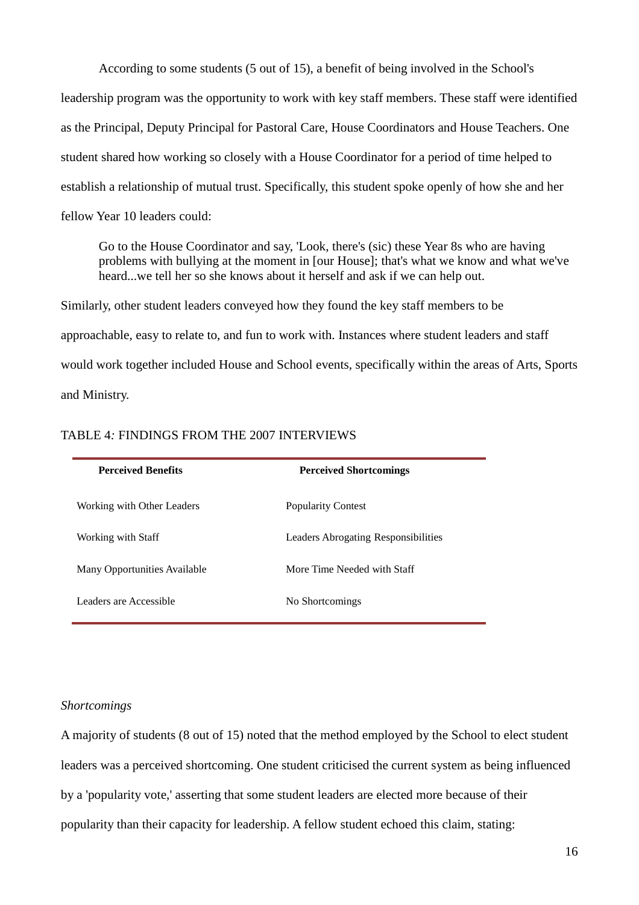According to some students (5 out of 15), a benefit of being involved in the School's

leadership program was the opportunity to work with key staff members. These staff were identified as the Principal, Deputy Principal for Pastoral Care, House Coordinators and House Teachers. One student shared how working so closely with a House Coordinator for a period of time helped to establish a relationship of mutual trust. Specifically, this student spoke openly of how she and her fellow Year 10 leaders could:

Go to the House Coordinator and say, 'Look, there's (sic) these Year 8s who are having problems with bullying at the moment in [our House]; that's what we know and what we've heard...we tell her so she knows about it herself and ask if we can help out.

Similarly, other student leaders conveyed how they found the key staff members to be approachable, easy to relate to, and fun to work with. Instances where student leaders and staff would work together included House and School events, specifically within the areas of Arts, Sports and Ministry.

| <b>Perceived Benefits</b>    | <b>Perceived Shortcomings</b>       |
|------------------------------|-------------------------------------|
| Working with Other Leaders   | <b>Popularity Contest</b>           |
| Working with Staff           | Leaders Abrogating Responsibilities |
| Many Opportunities Available | More Time Needed with Staff         |
| Leaders are Accessible       | No Shortcomings                     |

### TABLE 4*:* FINDINGS FROM THE 2007 INTERVIEWS

### *Shortcomings*

A majority of students (8 out of 15) noted that the method employed by the School to elect student leaders was a perceived shortcoming. One student criticised the current system as being influenced by a 'popularity vote,' asserting that some student leaders are elected more because of their popularity than their capacity for leadership. A fellow student echoed this claim, stating: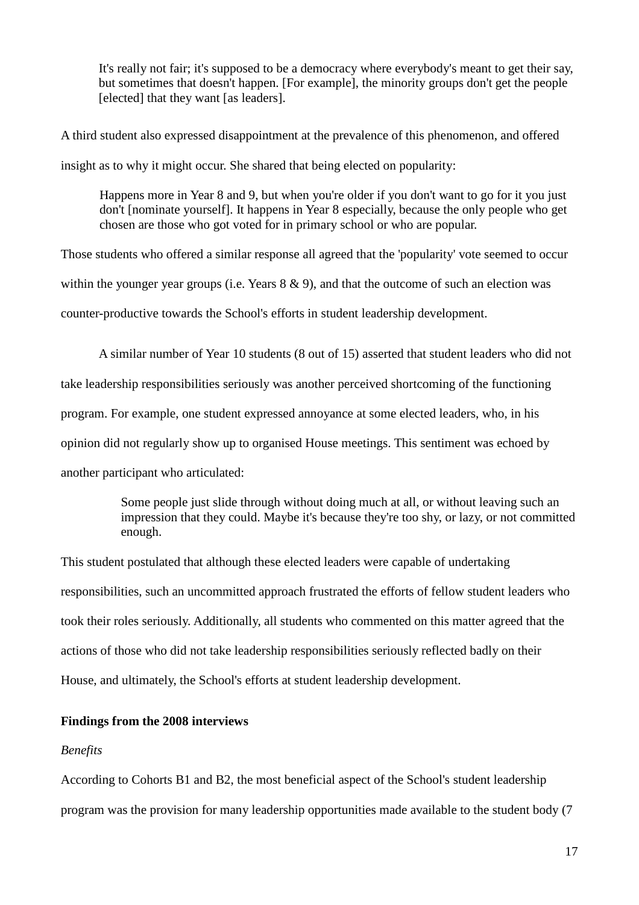It's really not fair; it's supposed to be a democracy where everybody's meant to get their say, but sometimes that doesn't happen. [For example], the minority groups don't get the people [elected] that they want [as leaders].

A third student also expressed disappointment at the prevalence of this phenomenon, and offered insight as to why it might occur. She shared that being elected on popularity:

Happens more in Year 8 and 9, but when you're older if you don't want to go for it you just don't [nominate yourself]. It happens in Year 8 especially, because the only people who get chosen are those who got voted for in primary school or who are popular.

Those students who offered a similar response all agreed that the 'popularity' vote seemed to occur within the younger year groups (i.e. Years  $8 \& 9$ ), and that the outcome of such an election was counter-productive towards the School's efforts in student leadership development.

A similar number of Year 10 students (8 out of 15) asserted that student leaders who did not take leadership responsibilities seriously was another perceived shortcoming of the functioning program. For example, one student expressed annoyance at some elected leaders, who, in his opinion did not regularly show up to organised House meetings. This sentiment was echoed by another participant who articulated:

> Some people just slide through without doing much at all, or without leaving such an impression that they could. Maybe it's because they're too shy, or lazy, or not committed enough.

This student postulated that although these elected leaders were capable of undertaking responsibilities, such an uncommitted approach frustrated the efforts of fellow student leaders who took their roles seriously. Additionally, all students who commented on this matter agreed that the actions of those who did not take leadership responsibilities seriously reflected badly on their House, and ultimately, the School's efforts at student leadership development.

## **Findings from the 2008 interviews**

### *Benefits*

According to Cohorts B1 and B2, the most beneficial aspect of the School's student leadership program was the provision for many leadership opportunities made available to the student body (7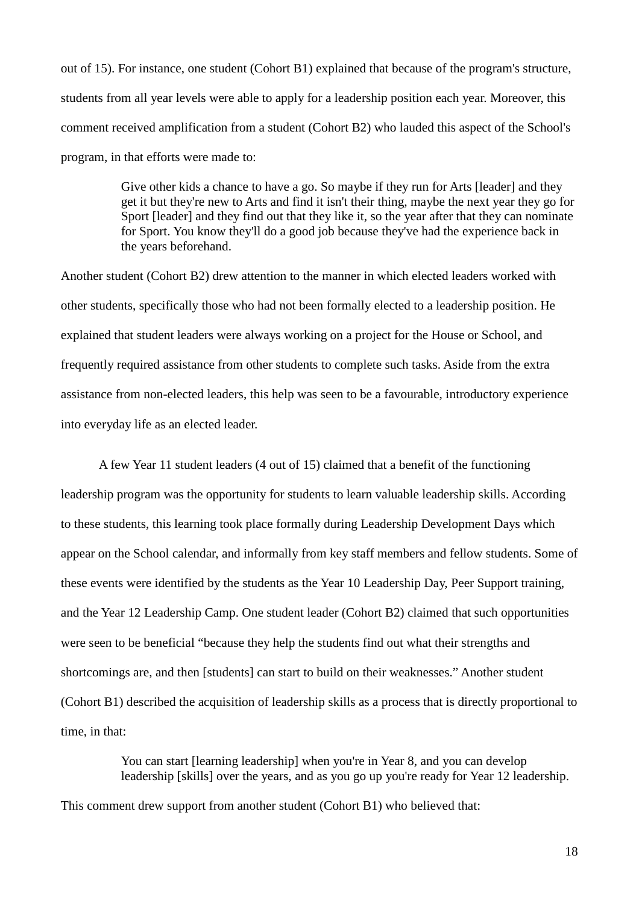out of 15). For instance, one student (Cohort B1) explained that because of the program's structure, students from all year levels were able to apply for a leadership position each year. Moreover, this comment received amplification from a student (Cohort B2) who lauded this aspect of the School's program, in that efforts were made to:

> Give other kids a chance to have a go. So maybe if they run for Arts [leader] and they get it but they're new to Arts and find it isn't their thing, maybe the next year they go for Sport [leader] and they find out that they like it, so the year after that they can nominate for Sport. You know they'll do a good job because they've had the experience back in the years beforehand.

Another student (Cohort B2) drew attention to the manner in which elected leaders worked with other students, specifically those who had not been formally elected to a leadership position. He explained that student leaders were always working on a project for the House or School, and frequently required assistance from other students to complete such tasks. Aside from the extra assistance from non-elected leaders, this help was seen to be a favourable, introductory experience into everyday life as an elected leader.

A few Year 11 student leaders (4 out of 15) claimed that a benefit of the functioning leadership program was the opportunity for students to learn valuable leadership skills. According to these students, this learning took place formally during Leadership Development Days which appear on the School calendar, and informally from key staff members and fellow students. Some of these events were identified by the students as the Year 10 Leadership Day, Peer Support training, and the Year 12 Leadership Camp. One student leader (Cohort B2) claimed that such opportunities were seen to be beneficial "because they help the students find out what their strengths and shortcomings are, and then [students] can start to build on their weaknesses." Another student (Cohort B1) described the acquisition of leadership skills as a process that is directly proportional to time, in that:

> You can start [learning leadership] when you're in Year 8, and you can develop leadership [skills] over the years, and as you go up you're ready for Year 12 leadership.

This comment drew support from another student (Cohort B1) who believed that: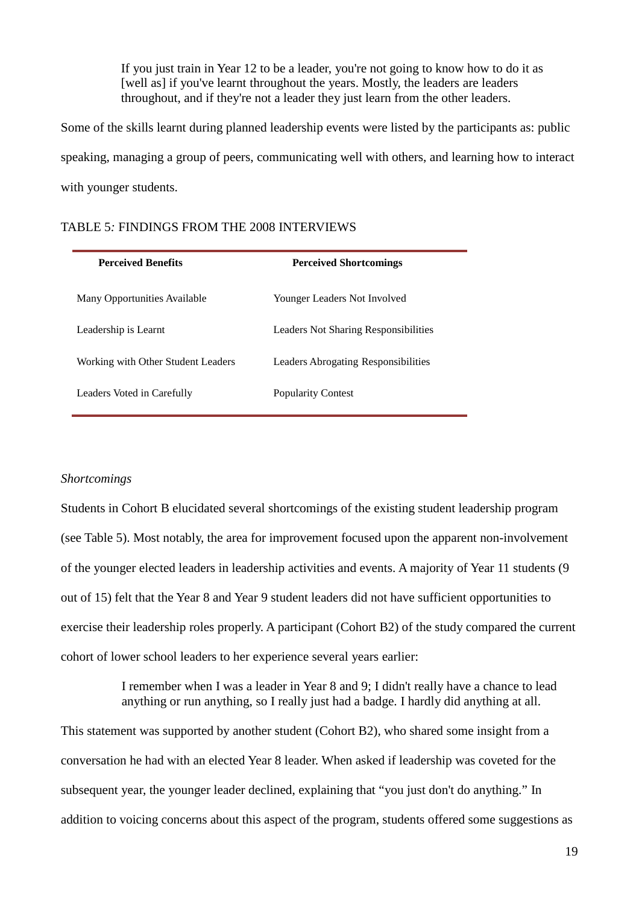If you just train in Year 12 to be a leader, you're not going to know how to do it as [well as] if you've learnt throughout the years. Mostly, the leaders are leaders throughout, and if they're not a leader they just learn from the other leaders.

Some of the skills learnt during planned leadership events were listed by the participants as: public speaking, managing a group of peers, communicating well with others, and learning how to interact with younger students.

| <b>Perceived Benefits</b>          | <b>Perceived Shortcomings</b>              |
|------------------------------------|--------------------------------------------|
| Many Opportunities Available       | Younger Leaders Not Involved               |
| Leadership is Learnt               | Leaders Not Sharing Responsibilities       |
| Working with Other Student Leaders | <b>Leaders Abrogating Responsibilities</b> |
| Leaders Voted in Carefully         | <b>Popularity Contest</b>                  |

### *Shortcomings*

Students in Cohort B elucidated several shortcomings of the existing student leadership program (see Table 5). Most notably, the area for improvement focused upon the apparent non-involvement of the younger elected leaders in leadership activities and events. A majority of Year 11 students (9 out of 15) felt that the Year 8 and Year 9 student leaders did not have sufficient opportunities to exercise their leadership roles properly. A participant (Cohort B2) of the study compared the current cohort of lower school leaders to her experience several years earlier:

> I remember when I was a leader in Year 8 and 9; I didn't really have a chance to lead anything or run anything, so I really just had a badge. I hardly did anything at all.

This statement was supported by another student (Cohort B2), who shared some insight from a conversation he had with an elected Year 8 leader. When asked if leadership was coveted for the subsequent year, the younger leader declined, explaining that "you just don't do anything." In addition to voicing concerns about this aspect of the program, students offered some suggestions as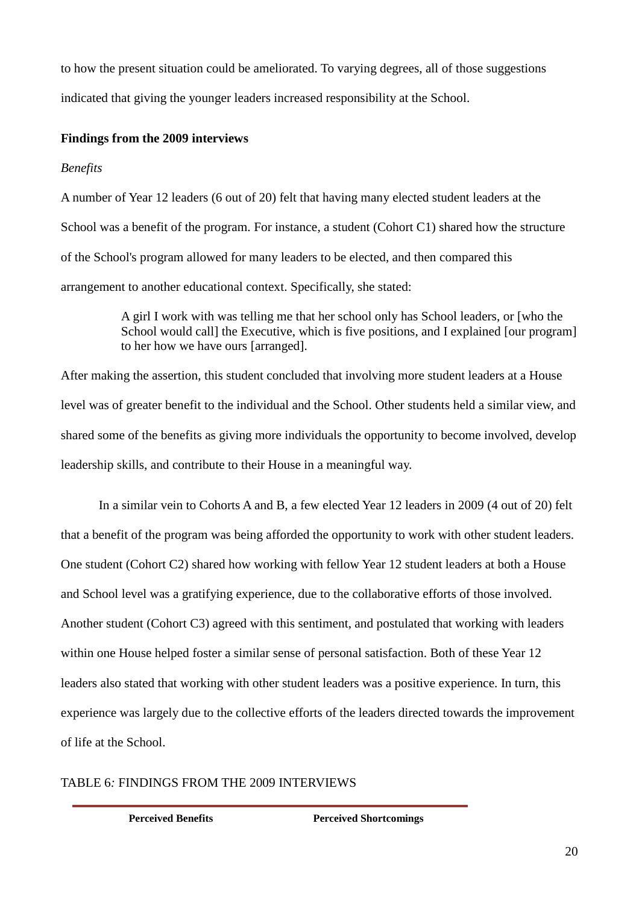to how the present situation could be ameliorated. To varying degrees, all of those suggestions indicated that giving the younger leaders increased responsibility at the School.

## **Findings from the 2009 interviews**

## *Benefits*

A number of Year 12 leaders (6 out of 20) felt that having many elected student leaders at the School was a benefit of the program. For instance, a student (Cohort C1) shared how the structure of the School's program allowed for many leaders to be elected, and then compared this arrangement to another educational context. Specifically, she stated:

> A girl I work with was telling me that her school only has School leaders, or [who the School would call the Executive, which is five positions, and I explained [our program] to her how we have ours [arranged].

After making the assertion, this student concluded that involving more student leaders at a House level was of greater benefit to the individual and the School. Other students held a similar view, and shared some of the benefits as giving more individuals the opportunity to become involved, develop leadership skills, and contribute to their House in a meaningful way.

In a similar vein to Cohorts A and B, a few elected Year 12 leaders in 2009 (4 out of 20) felt that a benefit of the program was being afforded the opportunity to work with other student leaders. One student (Cohort C2) shared how working with fellow Year 12 student leaders at both a House and School level was a gratifying experience, due to the collaborative efforts of those involved. Another student (Cohort C3) agreed with this sentiment, and postulated that working with leaders within one House helped foster a similar sense of personal satisfaction. Both of these Year 12 leaders also stated that working with other student leaders was a positive experience. In turn, this experience was largely due to the collective efforts of the leaders directed towards the improvement of life at the School.

## TABLE 6*:* FINDINGS FROM THE 2009 INTERVIEWS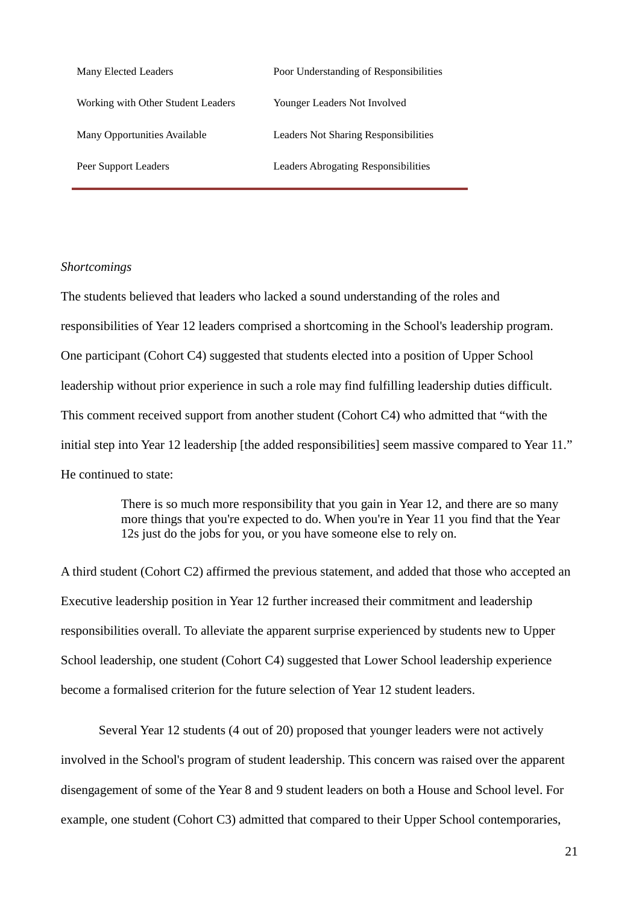| Many Elected Leaders               | Poor Understanding of Responsibilities      |
|------------------------------------|---------------------------------------------|
| Working with Other Student Leaders | Younger Leaders Not Involved                |
| Many Opportunities Available       | <b>Leaders Not Sharing Responsibilities</b> |
| Peer Support Leaders               | Leaders Abrogating Responsibilities         |

### *Shortcomings*

The students believed that leaders who lacked a sound understanding of the roles and responsibilities of Year 12 leaders comprised a shortcoming in the School's leadership program. One participant (Cohort C4) suggested that students elected into a position of Upper School leadership without prior experience in such a role may find fulfilling leadership duties difficult. This comment received support from another student (Cohort C4) who admitted that "with the initial step into Year 12 leadership [the added responsibilities] seem massive compared to Year 11." He continued to state:

> There is so much more responsibility that you gain in Year 12, and there are so many more things that you're expected to do. When you're in Year 11 you find that the Year 12s just do the jobs for you, or you have someone else to rely on.

A third student (Cohort C2) affirmed the previous statement, and added that those who accepted an Executive leadership position in Year 12 further increased their commitment and leadership responsibilities overall. To alleviate the apparent surprise experienced by students new to Upper School leadership, one student (Cohort C4) suggested that Lower School leadership experience become a formalised criterion for the future selection of Year 12 student leaders.

Several Year 12 students (4 out of 20) proposed that younger leaders were not actively involved in the School's program of student leadership. This concern was raised over the apparent disengagement of some of the Year 8 and 9 student leaders on both a House and School level. For example, one student (Cohort C3) admitted that compared to their Upper School contemporaries,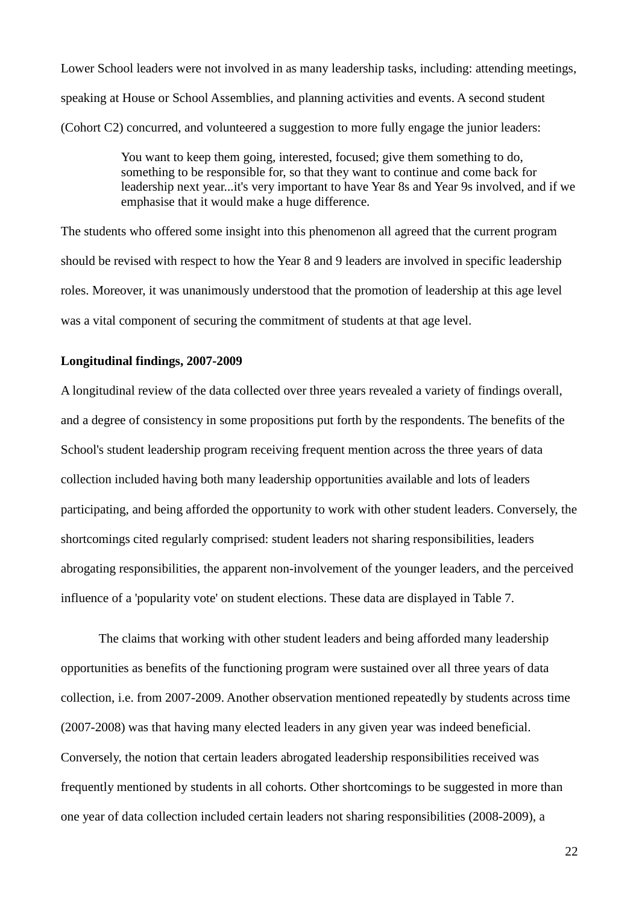Lower School leaders were not involved in as many leadership tasks, including: attending meetings, speaking at House or School Assemblies, and planning activities and events. A second student (Cohort C2) concurred, and volunteered a suggestion to more fully engage the junior leaders:

> You want to keep them going, interested, focused; give them something to do, something to be responsible for, so that they want to continue and come back for leadership next year...it's very important to have Year 8s and Year 9s involved, and if we emphasise that it would make a huge difference.

The students who offered some insight into this phenomenon all agreed that the current program should be revised with respect to how the Year 8 and 9 leaders are involved in specific leadership roles. Moreover, it was unanimously understood that the promotion of leadership at this age level was a vital component of securing the commitment of students at that age level.

### **Longitudinal findings, 2007-2009**

A longitudinal review of the data collected over three years revealed a variety of findings overall, and a degree of consistency in some propositions put forth by the respondents. The benefits of the School's student leadership program receiving frequent mention across the three years of data collection included having both many leadership opportunities available and lots of leaders participating, and being afforded the opportunity to work with other student leaders. Conversely, the shortcomings cited regularly comprised: student leaders not sharing responsibilities, leaders abrogating responsibilities, the apparent non-involvement of the younger leaders, and the perceived influence of a 'popularity vote' on student elections. These data are displayed in Table 7.

The claims that working with other student leaders and being afforded many leadership opportunities as benefits of the functioning program were sustained over all three years of data collection, i.e. from 2007-2009. Another observation mentioned repeatedly by students across time (2007-2008) was that having many elected leaders in any given year was indeed beneficial. Conversely, the notion that certain leaders abrogated leadership responsibilities received was frequently mentioned by students in all cohorts. Other shortcomings to be suggested in more than one year of data collection included certain leaders not sharing responsibilities (2008-2009), a

22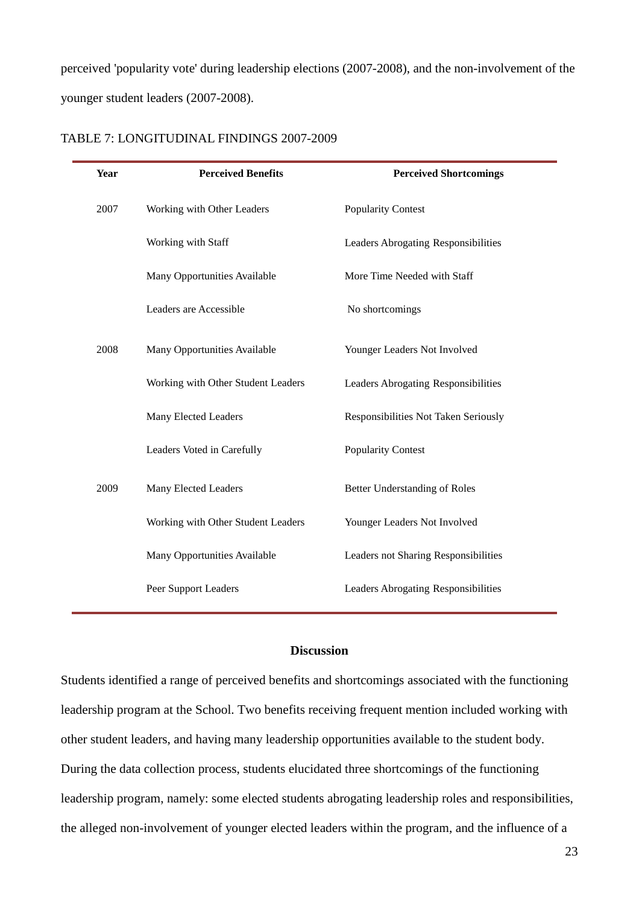perceived 'popularity vote' during leadership elections (2007-2008), and the non-involvement of the younger student leaders (2007-2008).

| <b>Year</b> | <b>Perceived Benefits</b>          | <b>Perceived Shortcomings</b>              |
|-------------|------------------------------------|--------------------------------------------|
| 2007        | Working with Other Leaders         | <b>Popularity Contest</b>                  |
|             | Working with Staff                 | Leaders Abrogating Responsibilities        |
|             | Many Opportunities Available       | More Time Needed with Staff                |
|             | Leaders are Accessible             | No shortcomings                            |
| 2008        | Many Opportunities Available       | Younger Leaders Not Involved               |
|             | Working with Other Student Leaders | Leaders Abrogating Responsibilities        |
|             | Many Elected Leaders               | Responsibilities Not Taken Seriously       |
|             | Leaders Voted in Carefully         | <b>Popularity Contest</b>                  |
| 2009        | Many Elected Leaders               | <b>Better Understanding of Roles</b>       |
|             | Working with Other Student Leaders | Younger Leaders Not Involved               |
|             | Many Opportunities Available       | Leaders not Sharing Responsibilities       |
|             | Peer Support Leaders               | <b>Leaders Abrogating Responsibilities</b> |

### TABLE 7: LONGITUDINAL FINDINGS 2007-2009

### **Discussion**

Students identified a range of perceived benefits and shortcomings associated with the functioning leadership program at the School. Two benefits receiving frequent mention included working with other student leaders, and having many leadership opportunities available to the student body. During the data collection process, students elucidated three shortcomings of the functioning leadership program, namely: some elected students abrogating leadership roles and responsibilities, the alleged non-involvement of younger elected leaders within the program, and the influence of a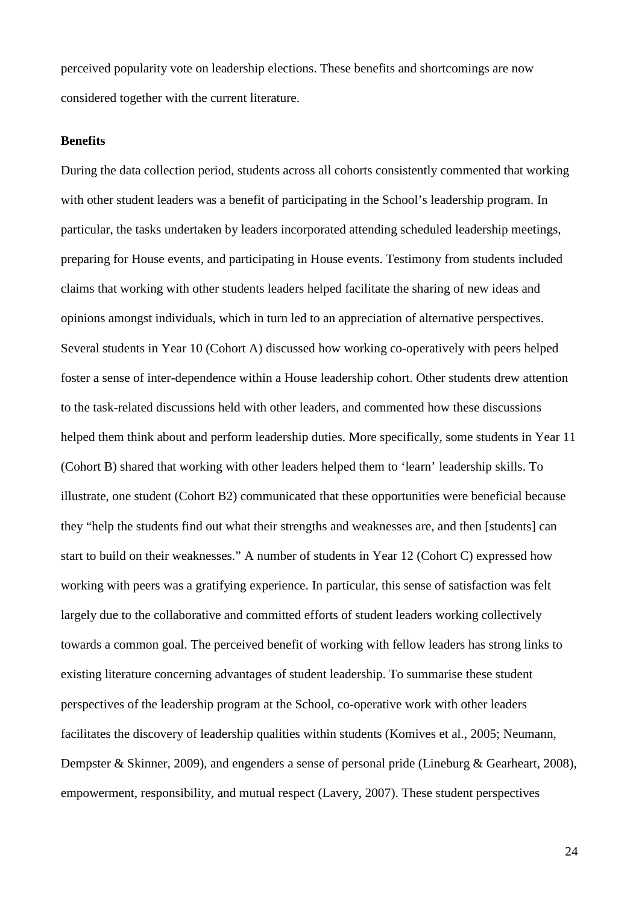perceived popularity vote on leadership elections. These benefits and shortcomings are now considered together with the current literature.

### **Benefits**

During the data collection period, students across all cohorts consistently commented that working with other student leaders was a benefit of participating in the School's leadership program. In particular, the tasks undertaken by leaders incorporated attending scheduled leadership meetings, preparing for House events, and participating in House events. Testimony from students included claims that working with other students leaders helped facilitate the sharing of new ideas and opinions amongst individuals, which in turn led to an appreciation of alternative perspectives. Several students in Year 10 (Cohort A) discussed how working co-operatively with peers helped foster a sense of inter-dependence within a House leadership cohort. Other students drew attention to the task-related discussions held with other leaders, and commented how these discussions helped them think about and perform leadership duties. More specifically, some students in Year 11 (Cohort B) shared that working with other leaders helped them to 'learn' leadership skills. To illustrate, one student (Cohort B2) communicated that these opportunities were beneficial because they "help the students find out what their strengths and weaknesses are, and then [students] can start to build on their weaknesses." A number of students in Year 12 (Cohort C) expressed how working with peers was a gratifying experience. In particular, this sense of satisfaction was felt largely due to the collaborative and committed efforts of student leaders working collectively towards a common goal. The perceived benefit of working with fellow leaders has strong links to existing literature concerning advantages of student leadership. To summarise these student perspectives of the leadership program at the School, co-operative work with other leaders facilitates the discovery of leadership qualities within students (Komives et al., 2005; Neumann, Dempster & Skinner, 2009), and engenders a sense of personal pride (Lineburg & Gearheart, 2008), empowerment, responsibility, and mutual respect (Lavery, 2007). These student perspectives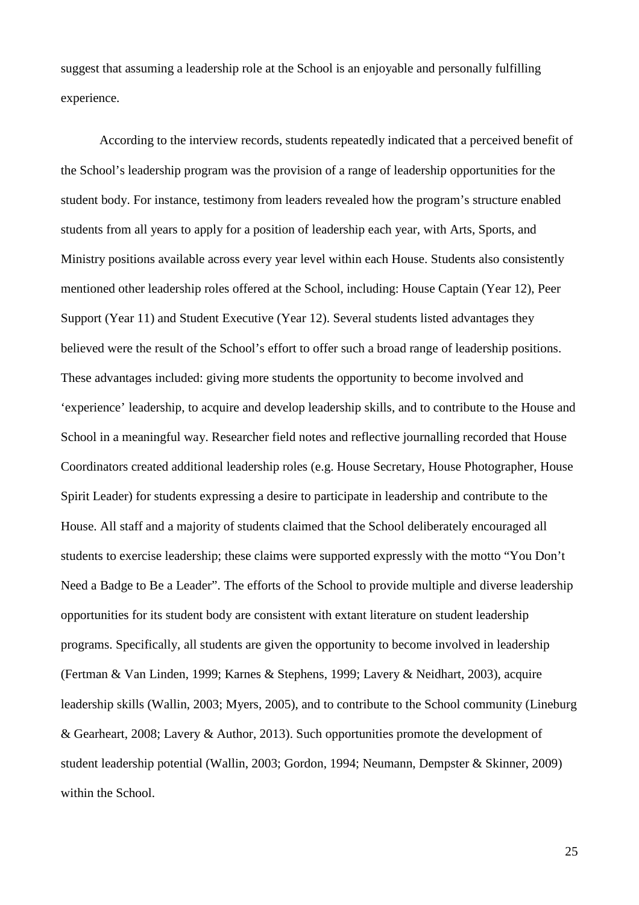suggest that assuming a leadership role at the School is an enjoyable and personally fulfilling experience.

According to the interview records, students repeatedly indicated that a perceived benefit of the School's leadership program was the provision of a range of leadership opportunities for the student body. For instance, testimony from leaders revealed how the program's structure enabled students from all years to apply for a position of leadership each year, with Arts, Sports, and Ministry positions available across every year level within each House. Students also consistently mentioned other leadership roles offered at the School, including: House Captain (Year 12), Peer Support (Year 11) and Student Executive (Year 12). Several students listed advantages they believed were the result of the School's effort to offer such a broad range of leadership positions. These advantages included: giving more students the opportunity to become involved and 'experience' leadership, to acquire and develop leadership skills, and to contribute to the House and School in a meaningful way. Researcher field notes and reflective journalling recorded that House Coordinators created additional leadership roles (e.g. House Secretary, House Photographer, House Spirit Leader) for students expressing a desire to participate in leadership and contribute to the House. All staff and a majority of students claimed that the School deliberately encouraged all students to exercise leadership; these claims were supported expressly with the motto "You Don't Need a Badge to Be a Leader". The efforts of the School to provide multiple and diverse leadership opportunities for its student body are consistent with extant literature on student leadership programs. Specifically, all students are given the opportunity to become involved in leadership (Fertman & Van Linden, 1999; Karnes & Stephens, 1999; Lavery & Neidhart, 2003), acquire leadership skills (Wallin, 2003; Myers, 2005), and to contribute to the School community (Lineburg & Gearheart, 2008; Lavery & Author, 2013). Such opportunities promote the development of student leadership potential (Wallin, 2003; Gordon, 1994; Neumann, Dempster & Skinner, 2009) within the School.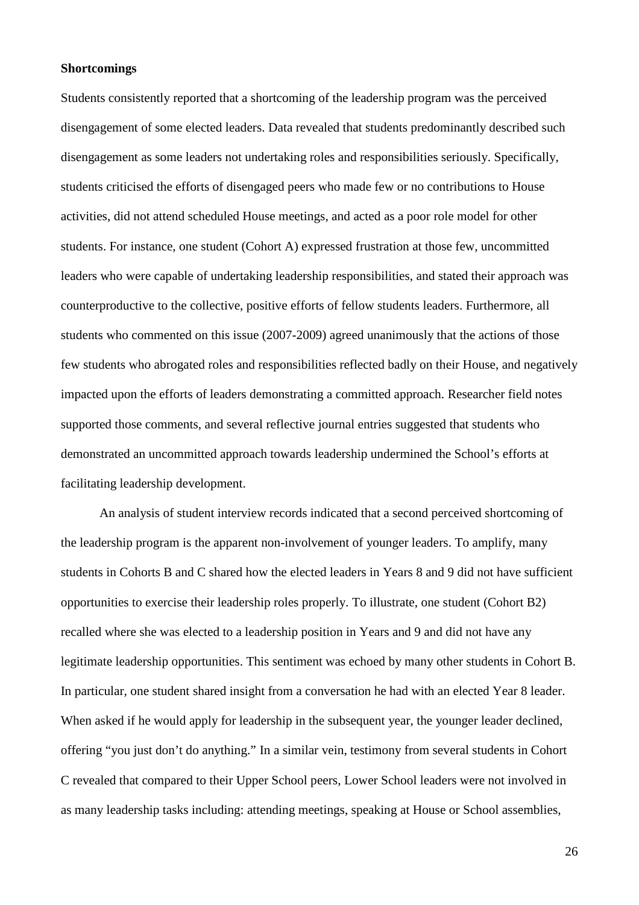### **Shortcomings**

Students consistently reported that a shortcoming of the leadership program was the perceived disengagement of some elected leaders. Data revealed that students predominantly described such disengagement as some leaders not undertaking roles and responsibilities seriously. Specifically, students criticised the efforts of disengaged peers who made few or no contributions to House activities, did not attend scheduled House meetings, and acted as a poor role model for other students. For instance, one student (Cohort A) expressed frustration at those few, uncommitted leaders who were capable of undertaking leadership responsibilities, and stated their approach was counterproductive to the collective, positive efforts of fellow students leaders. Furthermore, all students who commented on this issue (2007-2009) agreed unanimously that the actions of those few students who abrogated roles and responsibilities reflected badly on their House, and negatively impacted upon the efforts of leaders demonstrating a committed approach. Researcher field notes supported those comments, and several reflective journal entries suggested that students who demonstrated an uncommitted approach towards leadership undermined the School's efforts at facilitating leadership development.

An analysis of student interview records indicated that a second perceived shortcoming of the leadership program is the apparent non-involvement of younger leaders. To amplify, many students in Cohorts B and C shared how the elected leaders in Years 8 and 9 did not have sufficient opportunities to exercise their leadership roles properly. To illustrate, one student (Cohort B2) recalled where she was elected to a leadership position in Years and 9 and did not have any legitimate leadership opportunities. This sentiment was echoed by many other students in Cohort B. In particular, one student shared insight from a conversation he had with an elected Year 8 leader. When asked if he would apply for leadership in the subsequent year, the younger leader declined, offering "you just don't do anything." In a similar vein, testimony from several students in Cohort C revealed that compared to their Upper School peers, Lower School leaders were not involved in as many leadership tasks including: attending meetings, speaking at House or School assemblies,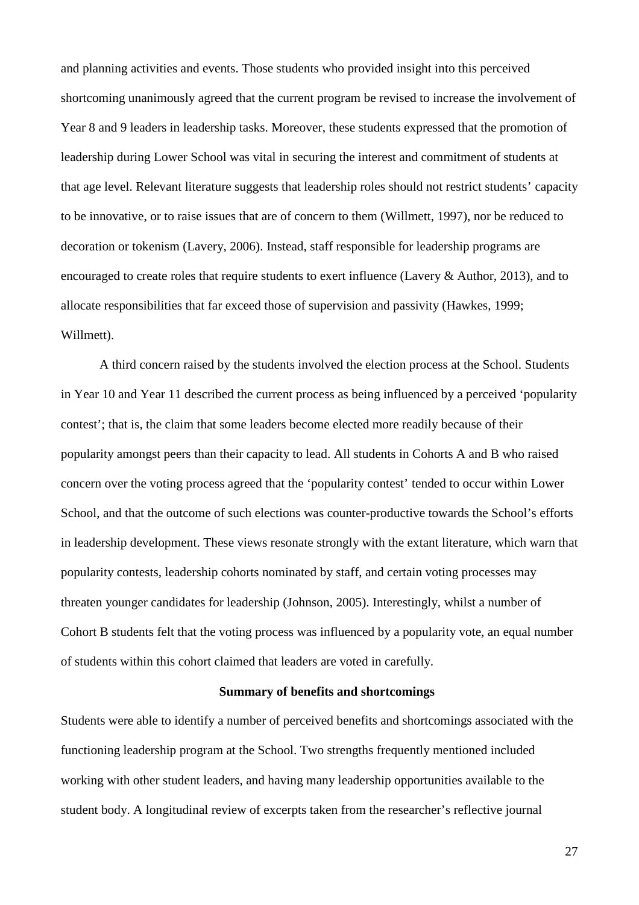and planning activities and events. Those students who provided insight into this perceived shortcoming unanimously agreed that the current program be revised to increase the involvement of Year 8 and 9 leaders in leadership tasks. Moreover, these students expressed that the promotion of leadership during Lower School was vital in securing the interest and commitment of students at that age level. Relevant literature suggests that leadership roles should not restrict students' capacity to be innovative, or to raise issues that are of concern to them (Willmett, 1997), nor be reduced to decoration or tokenism (Lavery, 2006). Instead, staff responsible for leadership programs are encouraged to create roles that require students to exert influence (Lavery & Author, 2013), and to allocate responsibilities that far exceed those of supervision and passivity (Hawkes, 1999; Willmett).

A third concern raised by the students involved the election process at the School. Students in Year 10 and Year 11 described the current process as being influenced by a perceived 'popularity contest'; that is, the claim that some leaders become elected more readily because of their popularity amongst peers than their capacity to lead. All students in Cohorts A and B who raised concern over the voting process agreed that the 'popularity contest' tended to occur within Lower School, and that the outcome of such elections was counter-productive towards the School's efforts in leadership development. These views resonate strongly with the extant literature, which warn that popularity contests, leadership cohorts nominated by staff, and certain voting processes may threaten younger candidates for leadership (Johnson, 2005). Interestingly, whilst a number of Cohort B students felt that the voting process was influenced by a popularity vote, an equal number of students within this cohort claimed that leaders are voted in carefully.

#### **Summary of benefits and shortcomings**

Students were able to identify a number of perceived benefits and shortcomings associated with the functioning leadership program at the School. Two strengths frequently mentioned included working with other student leaders, and having many leadership opportunities available to the student body. A longitudinal review of excerpts taken from the researcher's reflective journal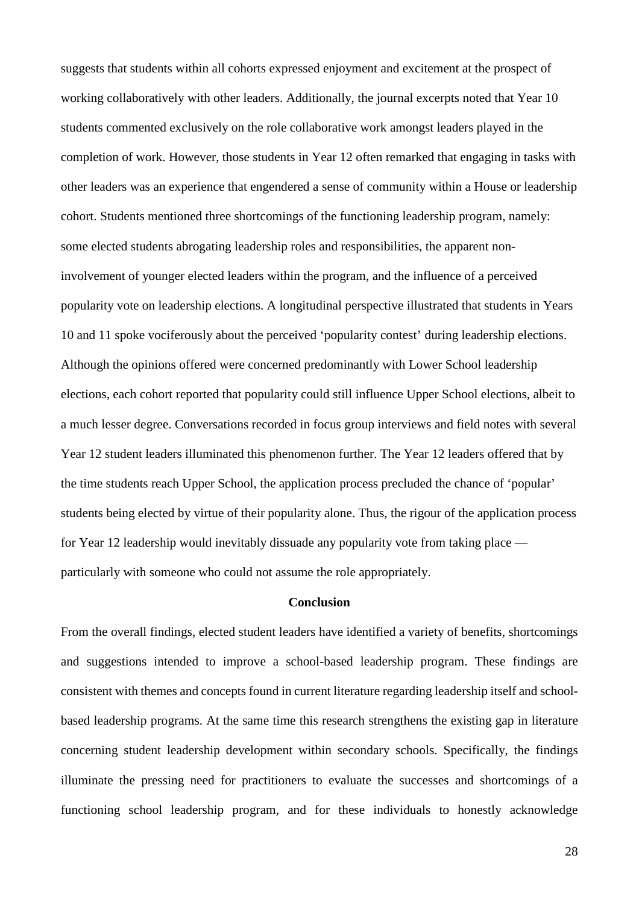suggests that students within all cohorts expressed enjoyment and excitement at the prospect of working collaboratively with other leaders. Additionally, the journal excerpts noted that Year 10 students commented exclusively on the role collaborative work amongst leaders played in the completion of work. However, those students in Year 12 often remarked that engaging in tasks with other leaders was an experience that engendered a sense of community within a House or leadership cohort. Students mentioned three shortcomings of the functioning leadership program, namely: some elected students abrogating leadership roles and responsibilities, the apparent noninvolvement of younger elected leaders within the program, and the influence of a perceived popularity vote on leadership elections. A longitudinal perspective illustrated that students in Years 10 and 11 spoke vociferously about the perceived 'popularity contest' during leadership elections. Although the opinions offered were concerned predominantly with Lower School leadership elections, each cohort reported that popularity could still influence Upper School elections, albeit to a much lesser degree. Conversations recorded in focus group interviews and field notes with several Year 12 student leaders illuminated this phenomenon further. The Year 12 leaders offered that by the time students reach Upper School, the application process precluded the chance of 'popular' students being elected by virtue of their popularity alone. Thus, the rigour of the application process for Year 12 leadership would inevitably dissuade any popularity vote from taking place particularly with someone who could not assume the role appropriately.

## **Conclusion**

From the overall findings, elected student leaders have identified a variety of benefits, shortcomings and suggestions intended to improve a school-based leadership program. These findings are consistent with themes and concepts found in current literature regarding leadership itself and schoolbased leadership programs. At the same time this research strengthens the existing gap in literature concerning student leadership development within secondary schools. Specifically, the findings illuminate the pressing need for practitioners to evaluate the successes and shortcomings of a functioning school leadership program, and for these individuals to honestly acknowledge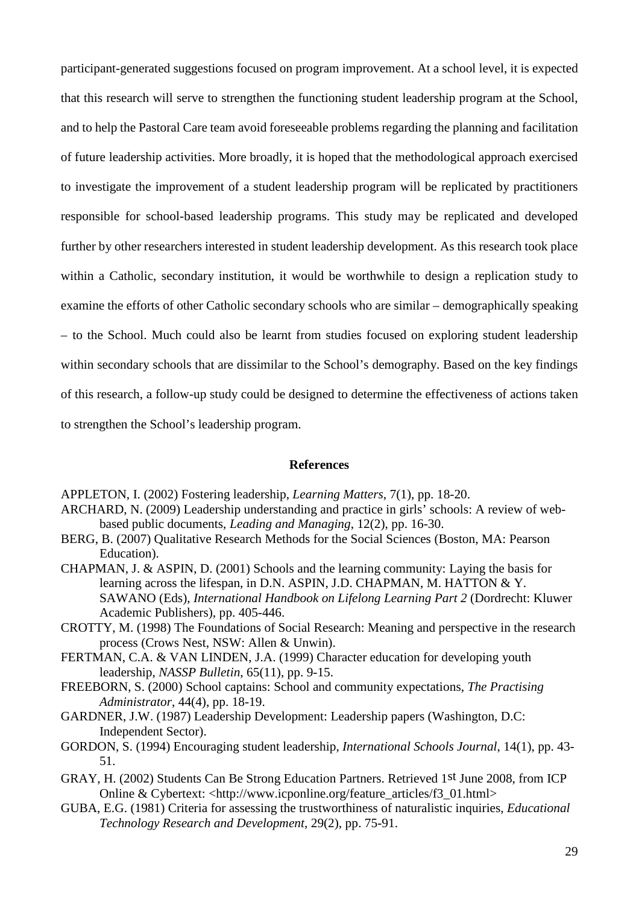participant-generated suggestions focused on program improvement. At a school level, it is expected that this research will serve to strengthen the functioning student leadership program at the School, and to help the Pastoral Care team avoid foreseeable problems regarding the planning and facilitation of future leadership activities. More broadly, it is hoped that the methodological approach exercised to investigate the improvement of a student leadership program will be replicated by practitioners responsible for school-based leadership programs. This study may be replicated and developed further by other researchers interested in student leadership development. As this research took place within a Catholic, secondary institution, it would be worthwhile to design a replication study to examine the efforts of other Catholic secondary schools who are similar – demographically speaking – to the School. Much could also be learnt from studies focused on exploring student leadership within secondary schools that are dissimilar to the School's demography. Based on the key findings of this research, a follow-up study could be designed to determine the effectiveness of actions taken to strengthen the School's leadership program.

## **References**

APPLETON, I. (2002) Fostering leadership, *Learning Matters*, 7(1), pp. 18-20.

- ARCHARD, N. (2009) Leadership understanding and practice in girls' schools: A review of webbased public documents, *Leading and Managing*, 12(2), pp. 16-30.
- BERG, B. (2007) Qualitative Research Methods for the Social Sciences (Boston, MA: Pearson Education).
- CHAPMAN, J. & ASPIN, D. (2001) Schools and the learning community: Laying the basis for learning across the lifespan, in D.N. ASPIN, J.D. CHAPMAN, M. HATTON & Y. SAWANO (Eds), *International Handbook on Lifelong Learning Part 2* (Dordrecht: Kluwer Academic Publishers), pp. 405-446.
- CROTTY, M. (1998) The Foundations of Social Research: Meaning and perspective in the research process (Crows Nest, NSW: Allen & Unwin).
- FERTMAN, C.A. & VAN LINDEN, J.A. (1999) Character education for developing youth leadership, *NASSP Bulletin*, 65(11), pp. 9-15.
- FREEBORN, S. (2000) School captains: School and community expectations, *The Practising Administrator*, 44(4), pp. 18-19.
- GARDNER, J.W. (1987) Leadership Development: Leadership papers (Washington, D.C: Independent Sector).
- GORDON, S. (1994) Encouraging student leadership, *International Schools Journal*, 14(1), pp. 43- 51.
- GRAY, H. (2002) Students Can Be Strong Education Partners. Retrieved 1st June 2008, from ICP Online & Cybertext: <http://www.icponline.org/feature\_articles/f3\_01.html>
- GUBA, E.G. (1981) Criteria for assessing the trustworthiness of naturalistic inquiries, *Educational Technology Research and Development*, 29(2), pp. 75-91.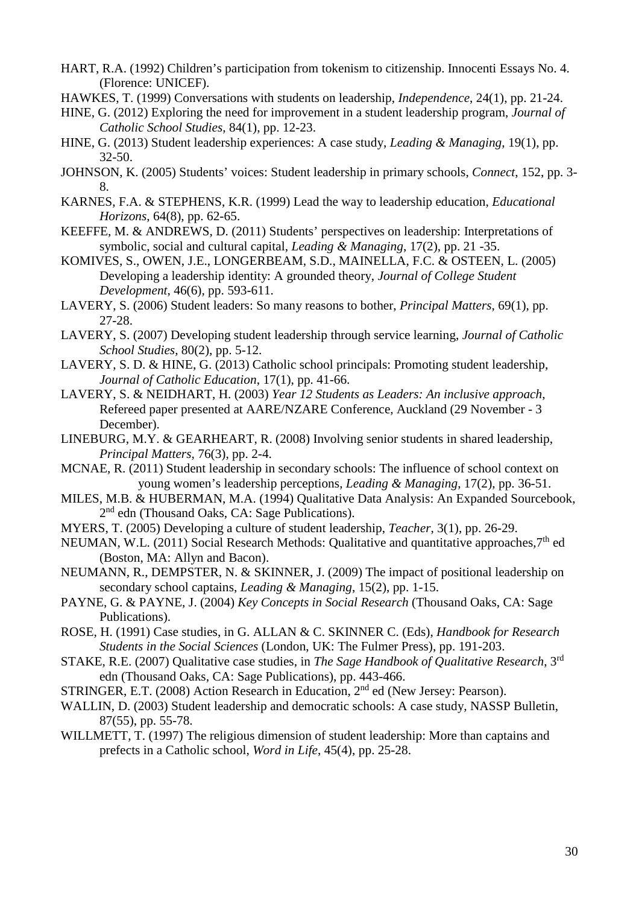- HART, R.A. (1992) Children's participation from tokenism to citizenship. Innocenti Essays No. 4. (Florence: UNICEF).
- HAWKES, T. (1999) Conversations with students on leadership, *Independence*, 24(1), pp. 21-24.
- HINE, G. (2012) Exploring the need for improvement in a student leadership program, *Journal of Catholic School Studies*, 84(1), pp. 12-23.
- HINE, G. (2013) Student leadership experiences: A case study, *Leading & Managing*, 19(1), pp. 32-50.
- JOHNSON, K. (2005) Students' voices: Student leadership in primary schools, *Connect*, 152, pp. 3- 8.
- KARNES, F.A. & STEPHENS, K.R. (1999) Lead the way to leadership education, *Educational Horizons*, 64(8), pp. 62-65.
- KEEFFE, M. & ANDREWS, D. (2011) Students' perspectives on leadership: Interpretations of symbolic, social and cultural capital, *Leading & Managing*, 17(2), pp. 21 -35.
- KOMIVES, S., OWEN, J.E., LONGERBEAM, S.D., MAINELLA, F.C. & OSTEEN, L. (2005) Developing a leadership identity: A grounded theory, *Journal of College Student Development*, 46(6), pp. 593-611.
- LAVERY, S. (2006) Student leaders: So many reasons to bother, *Principal Matters*, 69(1), pp. 27-28.
- LAVERY, S. (2007) Developing student leadership through service learning, *Journal of Catholic School Studies*, 80(2), pp. 5-12.
- LAVERY, S. D. & HINE, G. (2013) Catholic school principals: Promoting student leadership, *Journal of Catholic Education*, 17(1), pp. 41-66.
- LAVERY, S. & NEIDHART, H. (2003) *Year 12 Students as Leaders: An inclusive approach*, Refereed paper presented at AARE/NZARE Conference, Auckland (29 November - 3 December).
- LINEBURG, M.Y. & GEARHEART, R. (2008) Involving senior students in shared leadership, *Principal Matters*, 76(3), pp. 2-4.
- MCNAE, R. (2011) Student leadership in secondary schools: The influence of school context on young women's leadership perceptions, *Leading & Managing*, 17(2), pp. 36-51.
- MILES, M.B. & HUBERMAN, M.A. (1994) Qualitative Data Analysis: An Expanded Sourcebook, 2<sup>nd</sup> edn (Thousand Oaks, CA: Sage Publications).
- MYERS, T. (2005) Developing a culture of student leadership, *Teacher*, 3(1), pp. 26-29.
- NEUMAN, W.L. (2011) Social Research Methods: Qualitative and quantitative approaches,  $7<sup>th</sup>$  ed (Boston, MA: Allyn and Bacon).
- NEUMANN, R., DEMPSTER, N. & SKINNER, J. (2009) The impact of positional leadership on secondary school captains, *Leading & Managing*, 15(2), pp. 1-15.
- PAYNE, G. & PAYNE, J. (2004) *Key Concepts in Social Research* (Thousand Oaks, CA: Sage Publications).
- ROSE, H. (1991) Case studies, in G. ALLAN & C. SKINNER C. (Eds), *Handbook for Research Students in the Social Sciences* (London, UK: The Fulmer Press), pp. 191-203.
- STAKE, R.E. (2007) Qualitative case studies, in *The Sage Handbook of Qualitative Research*, 3rd edn (Thousand Oaks, CA: Sage Publications), pp. 443-466.
- STRINGER, E.T. (2008) Action Research in Education, 2<sup>nd</sup> ed (New Jersey: Pearson).
- WALLIN, D. (2003) Student leadership and democratic schools: A case study, NASSP Bulletin, 87(55), pp. 55-78.
- WILLMETT, T. (1997) The religious dimension of student leadership: More than captains and prefects in a Catholic school, *Word in Life*, 45(4), pp. 25-28.